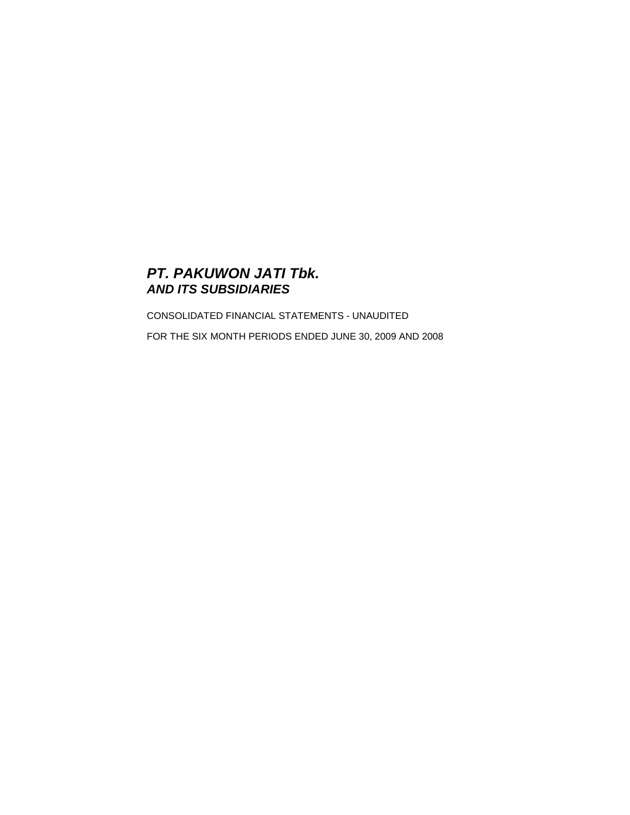# **PT. PAKUWON JATI Tbk. AND ITS SUBSIDIARIES**

CONSOLIDATED FINANCIAL STATEMENTS - UNAUDITED FOR THE SIX MONTH PERIODS ENDED JUNE 30, 2009 AND 2008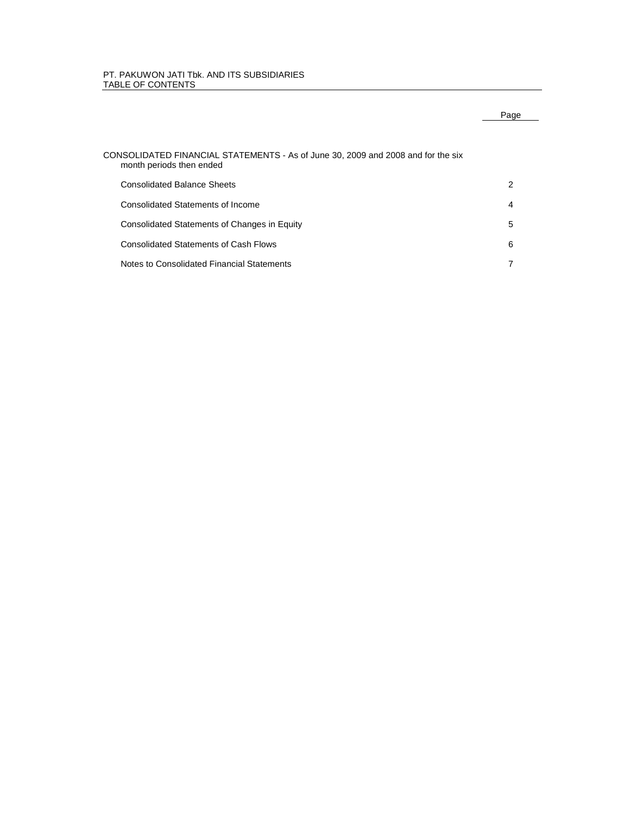# PT. PAKUWON JATI Tbk. AND ITS SUBSIDIARIES TABLE OF CONTENTS

# CONSOLIDATED FINANCIAL STATEMENTS - As of June 30, 2009 and 2008 and for the six month periods then ended Consolidated Balance Sheets 2 Consolidated Statements of Income 4 Consolidated Statements of Changes in Equity 5 Consolidated Statements of Cash Flows 6

Notes to Consolidated Financial Statements 7

# Page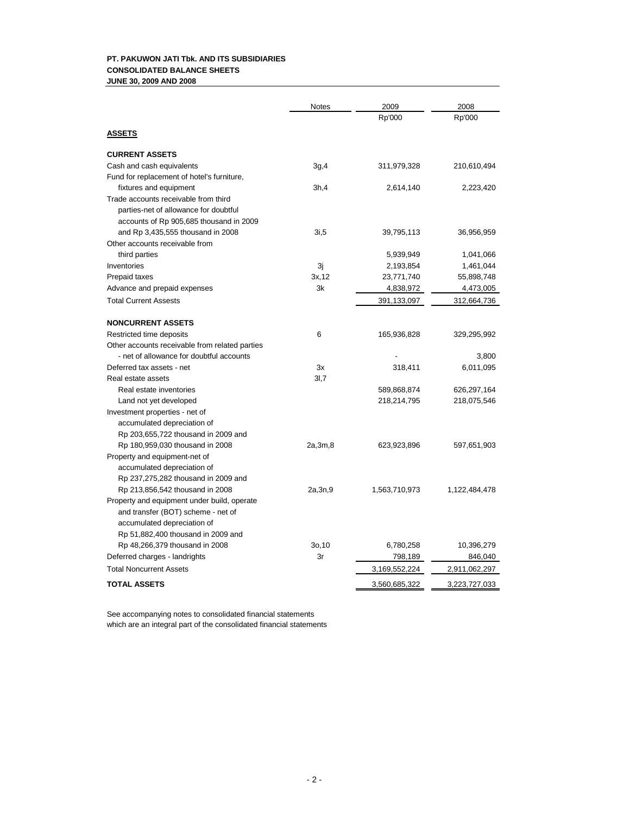# **PT. PAKUWON JATI Tbk. AND ITS SUBSIDIARIES CONSOLIDATED BALANCE SHEETS JUNE 30, 2009 AND 2008**

|                                                | Notes     | 2009          | 2008          |
|------------------------------------------------|-----------|---------------|---------------|
|                                                |           | Rp'000        | Rp'000        |
| <u>ASSETS</u>                                  |           |               |               |
| <b>CURRENT ASSETS</b>                          |           |               |               |
| Cash and cash equivalents                      | 3g,4      | 311,979,328   | 210,610,494   |
| Fund for replacement of hotel's furniture,     |           |               |               |
| fixtures and equipment                         | 3h,4      | 2,614,140     | 2,223,420     |
| Trade accounts receivable from third           |           |               |               |
| parties-net of allowance for doubtful          |           |               |               |
| accounts of Rp 905,685 thousand in 2009        |           |               |               |
| and Rp 3,435,555 thousand in 2008              | 3i,5      | 39,795,113    | 36,956,959    |
| Other accounts receivable from                 |           |               |               |
| third parties                                  |           | 5,939,949     | 1,041,066     |
| Inventories                                    | 3j        | 2,193,854     | 1,461,044     |
| Prepaid taxes                                  | 3x, 12    | 23,771,740    | 55,898,748    |
| Advance and prepaid expenses                   | 3k        | 4,838,972     | 4,473,005     |
| <b>Total Current Assests</b>                   |           | 391,133,097   | 312,664,736   |
| <b>NONCURRENT ASSETS</b>                       |           |               |               |
| Restricted time deposits                       | 6         | 165,936,828   | 329,295,992   |
| Other accounts receivable from related parties |           |               |               |
| - net of allowance for doubtful accounts       |           |               | 3,800         |
| Deferred tax assets - net                      | 3x        | 318,411       | 6,011,095     |
| Real estate assets                             | 3I,7      |               |               |
| Real estate inventories                        |           | 589,868,874   | 626,297,164   |
| Land not yet developed                         |           | 218,214,795   | 218,075,546   |
| Investment properties - net of                 |           |               |               |
| accumulated depreciation of                    |           |               |               |
| Rp 203,655,722 thousand in 2009 and            |           |               |               |
| Rp 180,959,030 thousand in 2008                | 2a, 3m, 8 | 623,923,896   | 597,651,903   |
| Property and equipment-net of                  |           |               |               |
| accumulated depreciation of                    |           |               |               |
| Rp 237,275,282 thousand in 2009 and            |           |               |               |
| Rp 213,856,542 thousand in 2008                | 2a,3n,9   | 1,563,710,973 | 1,122,484,478 |
| Property and equipment under build, operate    |           |               |               |
| and transfer (BOT) scheme - net of             |           |               |               |
| accumulated depreciation of                    |           |               |               |
| Rp 51,882,400 thousand in 2009 and             |           |               |               |
| Rp 48,266,379 thousand in 2008                 | 30,10     | 6,780,258     | 10,396,279    |
| Deferred charges - landrights                  | 3r        | 798,189       | 846,040       |
| <b>Total Noncurrent Assets</b>                 |           | 3,169,552,224 | 2,911,062,297 |
| <b>TOTAL ASSETS</b>                            |           | 3,560,685,322 | 3,223,727,033 |

See accompanying notes to consolidated financial statements which are an integral part of the consolidated financial statements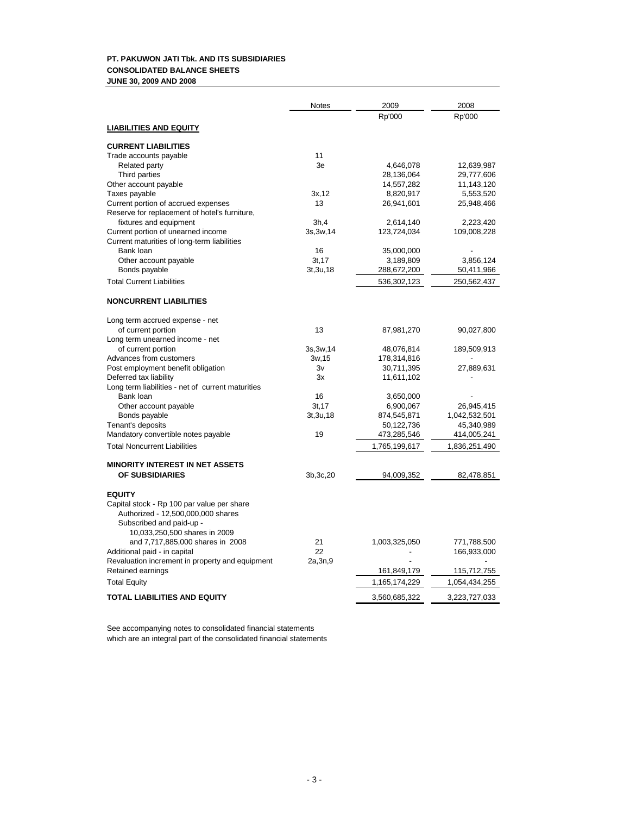# **PT. PAKUWON JATI Tbk. AND ITS SUBSIDIARIES CONSOLIDATED BALANCE SHEETS JUNE 30, 2009 AND 2008**

| 2009<br><b>Notes</b>                                            | 2008          |
|-----------------------------------------------------------------|---------------|
| Rp'000                                                          | Rp'000        |
| <b>LIABILITIES AND EQUITY</b>                                   |               |
| <b>CURRENT LIABILITIES</b>                                      |               |
| 11<br>Trade accounts payable                                    |               |
| Related party<br>3e<br>4,646,078                                | 12,639,987    |
| Third parties<br>28,136,064                                     | 29,777,606    |
| Other account payable<br>14,557,282                             | 11,143,120    |
| Taxes payable<br>3x, 12<br>8,820,917                            | 5,553,520     |
| Current portion of accrued expenses<br>13<br>26,941,601         | 25,948,466    |
| Reserve for replacement of hotel's furniture,                   |               |
| fixtures and equipment<br>3h,4<br>2,614,140                     | 2,223,420     |
| Current portion of unearned income<br>3s, 3w, 14<br>123,724,034 | 109,008,228   |
| Current maturities of long-term liabilities                     |               |
| Bank loan<br>16<br>35,000,000                                   |               |
| Other account payable<br>3t, 17<br>3,189,809                    | 3,856,124     |
| Bonds payable<br>3t, 3u, 18<br>288,672,200                      | 50,411,966    |
| <b>Total Current Liabilities</b>                                | 250,562,437   |
| 536,302,123                                                     |               |
| <b>NONCURRENT LIABILITIES</b>                                   |               |
| Long term accrued expense - net                                 |               |
| of current portion<br>13<br>87,981,270                          | 90,027,800    |
| Long term unearned income - net                                 |               |
| of current portion<br>3s, 3w, 14<br>48,076,814                  | 189,509,913   |
| Advances from customers<br>178,314,816<br>3w, 15                |               |
| Post employment benefit obligation<br>30,711,395<br>3v          | 27,889,631    |
| Deferred tax liability<br>11,611,102<br>Зx                      |               |
| Long term liabilities - net of current maturities               |               |
| Bank loan<br>16<br>3,650,000                                    |               |
| 3t, 17<br>6,900,067<br>Other account payable                    | 26,945,415    |
| Bonds payable<br>3t, 3u, 18<br>874,545,871                      | 1,042,532,501 |
| Tenant's deposits<br>50,122,736                                 | 45,340,989    |
| Mandatory convertible notes payable<br>19<br>473,285,546        | 414,005,241   |
| <b>Total Noncurrent Liabilities</b><br>1,765,199,617            | 1,836,251,490 |
|                                                                 |               |
| <b>MINORITY INTEREST IN NET ASSETS</b>                          |               |
| OF SUBSIDIARIES<br>3b, 3c, 20<br>94,009,352                     | 82,478,851    |
| <b>EQUITY</b>                                                   |               |
| Capital stock - Rp 100 par value per share                      |               |
| Authorized - 12,500,000,000 shares                              |               |
| Subscribed and paid-up -                                        |               |
| 10,033,250,500 shares in 2009                                   |               |
| and 7,717,885,000 shares in 2008<br>21<br>1,003,325,050         | 771,788,500   |
| Additional paid - in capital<br>22                              | 166,933,000   |
| Revaluation increment in property and equipment<br>2a, 3n, 9    |               |
| Retained earnings<br>161,849,179                                | 115,712,755   |
| <b>Total Equity</b><br>1,165,174,229                            | 1,054,434,255 |
| <b>TOTAL LIABILITIES AND EQUITY</b><br>3,560,685,322            | 3,223,727,033 |

See accompanying notes to consolidated financial statements which are an integral part of the consolidated financial statements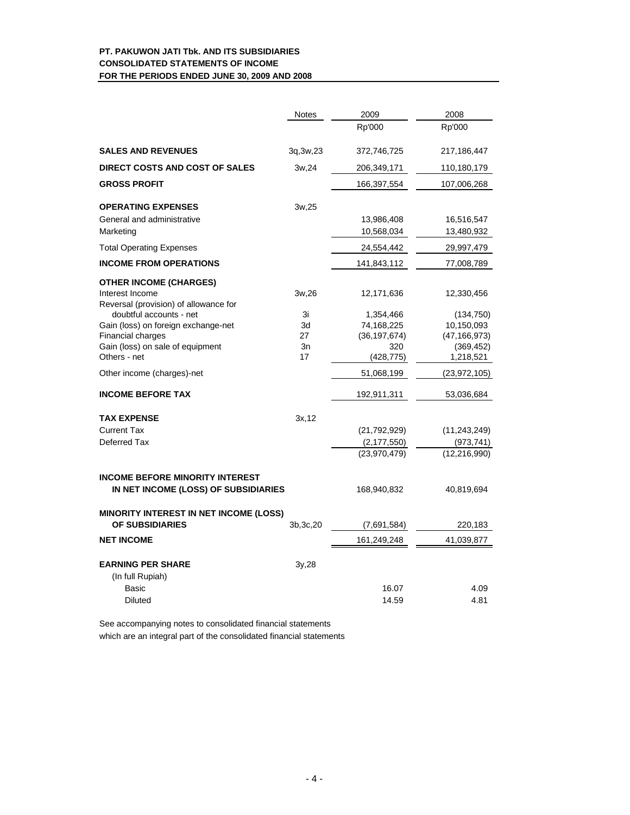# **PT. PAKUWON JATI Tbk. AND ITS SUBSIDIARIES CONSOLIDATED STATEMENTS OF INCOME FOR THE PERIODS ENDED JUNE 30, 2009 AND 2008**

|                                                                  | Notes      | 2009           | 2008           |
|------------------------------------------------------------------|------------|----------------|----------------|
|                                                                  |            | Rp'000         | Rp'000         |
| <b>SALES AND REVENUES</b>                                        | 3q, 3w, 23 | 372,746,725    | 217,186,447    |
| <b>DIRECT COSTS AND COST OF SALES</b>                            | 3w,24      | 206,349,171    | 110,180,179    |
| <b>GROSS PROFIT</b>                                              |            | 166,397,554    | 107,006,268    |
| <b>OPERATING EXPENSES</b>                                        | 3w,25      |                |                |
| General and administrative                                       |            | 13,986,408     | 16,516,547     |
| Marketing                                                        |            | 10,568,034     | 13,480,932     |
| <b>Total Operating Expenses</b>                                  |            | 24,554,442     | 29,997,479     |
| <b>INCOME FROM OPERATIONS</b>                                    |            | 141,843,112    | 77,008,789     |
| <b>OTHER INCOME (CHARGES)</b>                                    |            |                |                |
| Interest Income                                                  | 3w,26      | 12,171,636     | 12,330,456     |
| Reversal (provision) of allowance for<br>doubtful accounts - net | 3i         | 1,354,466      | (134, 750)     |
| Gain (loss) on foreign exchange-net                              | 3d         | 74,168,225     | 10,150,093     |
| Financial charges                                                | 27         | (36, 197, 674) | (47, 166, 973) |
| Gain (loss) on sale of equipment                                 | 3n         | 320            | (369, 452)     |
| Others - net                                                     | 17         | (428,775)      | 1,218,521      |
| Other income (charges)-net                                       |            | 51,068,199     | (23, 972, 105) |
| <b>INCOME BEFORE TAX</b>                                         |            | 192,911,311    | 53,036,684     |
| <b>TAX EXPENSE</b>                                               | 3x, 12     |                |                |
| <b>Current Tax</b>                                               |            | (21,792,929)   | (11, 243, 249) |
| Deferred Tax                                                     |            | (2, 177, 550)  | (973, 741)     |
|                                                                  |            | (23,970,479)   | (12, 216, 990) |
| <b>INCOME BEFORE MINORITY INTEREST</b>                           |            |                |                |
| IN NET INCOME (LOSS) OF SUBSIDIARIES                             |            | 168,940,832    | 40,819,694     |
| <b>MINORITY INTEREST IN NET INCOME (LOSS)</b>                    |            |                |                |
| OF SUBSIDIARIES                                                  | 3b, 3c, 20 | (7,691,584)    | 220,183        |
| <b>NET INCOME</b>                                                |            | 161,249,248    | 41,039,877     |
| <b>EARNING PER SHARE</b>                                         | 3y,28      |                |                |
| (In full Rupiah)                                                 |            |                |                |
| Basic                                                            |            | 16.07          | 4.09           |
| Diluted                                                          |            | 14.59          | 4.81           |
|                                                                  |            |                |                |

See accompanying notes to consolidated financial statements

which are an integral part of the consolidated financial statements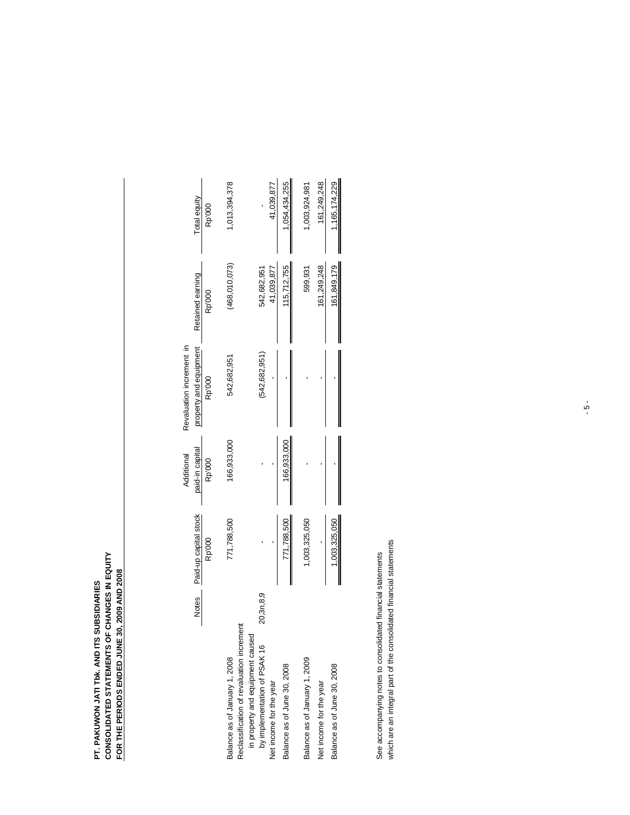# **PT. PAKUWON JATI TBK. AND ITS SUBSIDIARIES<br>CONSOLIDATED STATEMENTS OF CHANGES IN EQUITY<br>FOR THE PERIODS ENDED JUNE 30, 2009 AND 2008 CONSOLIDATED STATEMENTS OF CHANGES IN EQUITY FOR THE PERIODS ENDED JUNE 30, 2009 AND 2008 PT. PAKUWON JATI Tbk. AND ITS SUBSIDIARIES**

|                                                                               |           |                       | Additional      | Revaluation increment in |                  |               |
|-------------------------------------------------------------------------------|-----------|-----------------------|-----------------|--------------------------|------------------|---------------|
|                                                                               | Notes     | Paid-up capital stock | paid-in capital | property and equipment   | Retained earning | Total equity  |
|                                                                               |           | Rp'000                | Rp'000          | Rp'000                   | Rp'000           | Rp'000        |
| Balance as of January 1, 2008                                                 |           | 771,788,500           | 166,933,000     | 542,682,951              | (468,010,073)    | ,013,394,378  |
| Reclassification of revaluation increment<br>in property and equipment caused |           |                       |                 |                          |                  |               |
| by implementation of PSAK 16                                                  | 20,3n,8,9 |                       |                 | (542, 682, 951)          | 542,682,951      |               |
| Net income for the year                                                       |           |                       |                 |                          | 41,039,877       | 41,039,877    |
| Balance as of June 30, 2008                                                   |           | 771,788,500           | 166,933,000     |                          | 115,712,755      | 1,054,434,255 |
| Balance as of January 1, 2009                                                 |           | 1,003,325,050         |                 |                          | 599,931          | 1,003,924,981 |
| Net income for the year                                                       |           |                       |                 |                          | 161,249,248      | 161,249,248   |
| Balance as of June 30, 2008                                                   |           | 1,003,325,050         |                 |                          | 161,849,179      | 1,165,174,229 |
|                                                                               |           |                       |                 |                          |                  |               |

See accompanying notes to consolidated financial statements<br>which are an integral part of the consolidated financial statements which are an integral part of the consolidated financial statements See accompanying notes to consolidated financial statements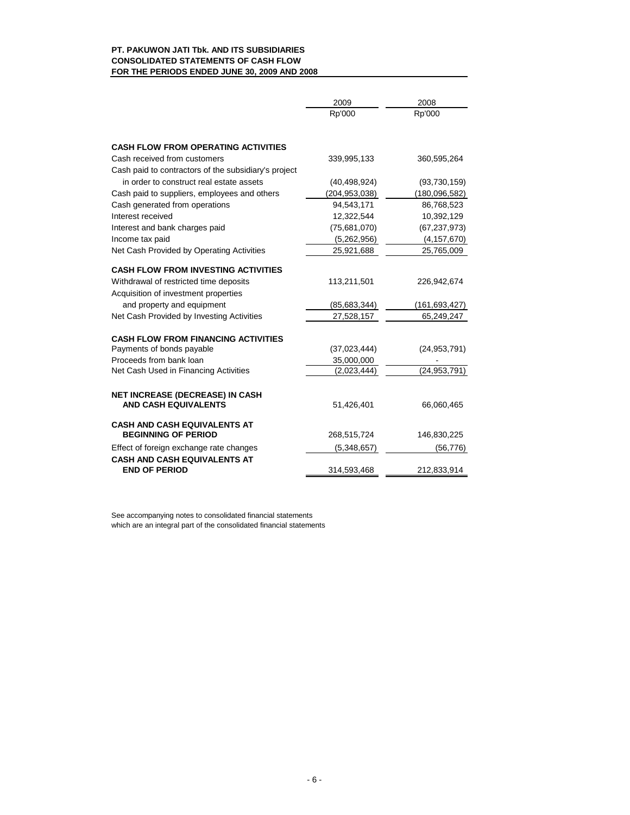|                                                                   | 2009            | 2008            |
|-------------------------------------------------------------------|-----------------|-----------------|
|                                                                   | Rp'000          | Rp'000          |
| <b>CASH FLOW FROM OPERATING ACTIVITIES</b>                        |                 |                 |
| Cash received from customers                                      | 339,995,133     | 360,595,264     |
| Cash paid to contractors of the subsidiary's project              |                 |                 |
| in order to construct real estate assets                          | (40, 498, 924)  | (93, 730, 159)  |
| Cash paid to suppliers, employees and others                      | (204, 953, 038) | (180,096,582)   |
| Cash generated from operations                                    | 94,543,171      | 86,768,523      |
| Interest received                                                 | 12,322,544      | 10,392,129      |
| Interest and bank charges paid                                    | (75,681,070)    | (67, 237, 973)  |
| Income tax paid                                                   | (5,262,956)     | (4, 157, 670)   |
| Net Cash Provided by Operating Activities                         | 25,921,688      | 25,765,009      |
| <b>CASH FLOW FROM INVESTING ACTIVITIES</b>                        |                 |                 |
| Withdrawal of restricted time deposits                            | 113,211,501     | 226,942,674     |
| Acquisition of investment properties                              |                 |                 |
| and property and equipment                                        | (85,683,344)    | (161, 693, 427) |
| Net Cash Provided by Investing Activities                         | 27,528,157      | 65,249,247      |
|                                                                   |                 |                 |
| <b>CASH FLOW FROM FINANCING ACTIVITIES</b>                        |                 |                 |
| Payments of bonds payable                                         | (37,023,444)    | (24, 953, 791)  |
| Proceeds from bank loan                                           | 35,000,000      |                 |
| Net Cash Used in Financing Activities                             | (2,023,444)     | (24, 953, 791)  |
|                                                                   |                 |                 |
| NET INCREASE (DECREASE) IN CASH<br><b>AND CASH EQUIVALENTS</b>    | 51,426,401      | 66,060,465      |
|                                                                   |                 |                 |
| <b>CASH AND CASH EQUIVALENTS AT</b><br><b>BEGINNING OF PERIOD</b> | 268,515,724     | 146,830,225     |
| Effect of foreign exchange rate changes                           | (5,348,657)     | (56, 776)       |
| <b>CASH AND CASH EQUIVALENTS AT</b>                               |                 |                 |
| <b>END OF PERIOD</b>                                              | 314,593,468     | 212,833,914     |

See accompanying notes to consolidated financial statements which are an integral part of the consolidated financial statements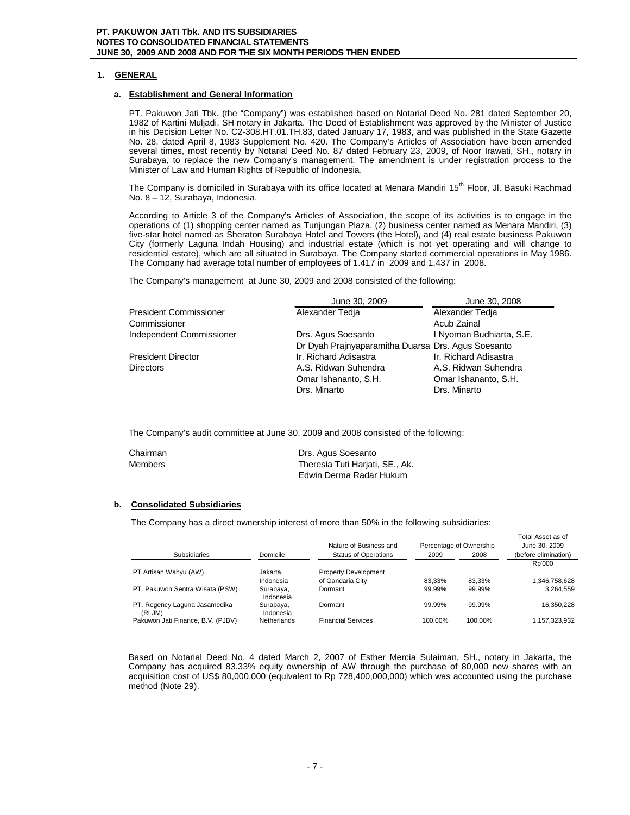# **1. GENERAL**

#### **a. Establishment and General Information**

PT. Pakuwon Jati Tbk. (the "Company") was established based on Notarial Deed No. 281 dated September 20, 1982 of Kartini Muljadi, SH notary in Jakarta. The Deed of Establishment was approved by the Minister of Justice in his Decision Letter No. C2-308.HT.01.TH.83, dated January 17, 1983, and was published in the State Gazette No. 28, dated April 8, 1983 Supplement No. 420. The Company's Articles of Association have been amended several times, most recently by Notarial Deed No. 87 dated February 23, 2009, of Noor Irawati, SH., notary in Surabaya, to replace the new Company's management. The amendment is under registration process to the Minister of Law and Human Rights of Republic of Indonesia.

The Company is domiciled in Surabaya with its office located at Menara Mandiri 15<sup>th</sup> Floor, Jl. Basuki Rachmad No. 8 – 12, Surabaya, Indonesia.

According to Article 3 of the Company's Articles of Association, the scope of its activities is to engage in the operations of (1) shopping center named as Tunjungan Plaza, (2) business center named as Menara Mandiri, (3) five-star hotel named as Sheraton Surabaya Hotel and Towers (the Hotel), and (4) real estate business Pakuwon City (formerly Laguna Indah Housing) and industrial estate (which is not yet operating and will change to residential estate), which are all situated in Surabaya. The Company started commercial operations in May 1986. The Company had average total number of employees of 1.417 in 2009 and 1.437 in 2008.

The Company's management at June 30, 2009 and 2008 consisted of the following:

|                               | June 30, 2009                                      | June 30, 2008            |
|-------------------------------|----------------------------------------------------|--------------------------|
| <b>President Commissioner</b> | Alexander Tedia                                    | Alexander Tedia          |
| Commissioner                  |                                                    | Acub Zainal              |
| Independent Commissioner      | Drs. Agus Soesanto                                 | I Nyoman Budhiarta, S.E. |
|                               | Dr Dyah Prajnyaparamitha Duarsa Drs. Agus Soesanto |                          |
| <b>President Director</b>     | Ir. Richard Adisastra                              | Ir. Richard Adisastra    |
| <b>Directors</b>              | A.S. Ridwan Suhendra                               | A.S. Ridwan Suhendra     |
|                               | Omar Ishananto, S.H.                               | Omar Ishananto, S.H.     |
|                               | Drs. Minarto                                       | Drs. Minarto             |

The Company's audit committee at June 30, 2009 and 2008 consisted of the following:

| Chairman | Drs. Agus Soesanto              |
|----------|---------------------------------|
| Members  | Theresia Tuti Harjati, SE., Ak. |
|          | Edwin Derma Radar Hukum         |

# **b. Consolidated Subsidiaries**

The Company has a direct ownership interest of more than 50% in the following subsidiaries:

|                                         |                        | Nature of Business and      |         | Percentage of Ownership | Total Asset as or<br>June 30, 2009 |
|-----------------------------------------|------------------------|-----------------------------|---------|-------------------------|------------------------------------|
| Subsidiaries                            | Domicile               | <b>Status of Operations</b> | 2009    | 2008                    | (before elimination)               |
|                                         |                        |                             |         |                         | Rp'000                             |
| PT Artisan Wahyu (AW)                   | Jakarta.               | <b>Property Development</b> |         |                         |                                    |
|                                         | Indonesia              | of Gandaria City            | 83.33%  | 83.33%                  | 1,346,758,628                      |
| PT. Pakuwon Sentra Wisata (PSW)         | Surabaya,<br>Indonesia | Dormant                     | 99.99%  | 99.99%                  | 3.264.559                          |
| PT. Regency Laguna Jasamedika<br>(RLJM) | Surabaya,<br>Indonesia | Dormant                     | 99.99%  | 99.99%                  | 16.350.228                         |
| Pakuwon Jati Finance, B.V. (PJBV)       | Netherlands            | <b>Financial Services</b>   | 100.00% | 100.00%                 | 1.157.323.932                      |

Total Asset as of

Based on Notarial Deed No. 4 dated March 2, 2007 of Esther Mercia Sulaiman, SH., notary in Jakarta, the Company has acquired 83.33% equity ownership of AW through the purchase of 80,000 new shares with an acquisition cost of US\$ 80,000,000 (equivalent to Rp 728,400,000,000) which was accounted using the purchase method (Note 29).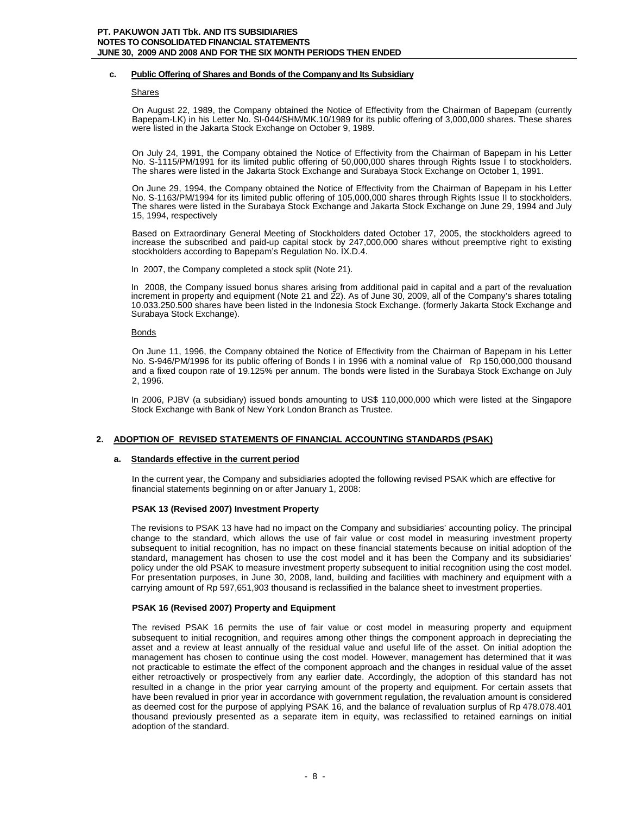# **c. Public Offering of Shares and Bonds of the Company and Its Subsidiary**

#### Shares

On August 22, 1989, the Company obtained the Notice of Effectivity from the Chairman of Bapepam (currently Bapepam-LK) in his Letter No. SI-044/SHM/MK.10/1989 for its public offering of 3,000,000 shares. These shares were listed in the Jakarta Stock Exchange on October 9, 1989.

On July 24, 1991, the Company obtained the Notice of Effectivity from the Chairman of Bapepam in his Letter No. S-1115/PM/1991 for its limited public offering of 50,000,000 shares through Rights Issue I to stockholders. The shares were listed in the Jakarta Stock Exchange and Surabaya Stock Exchange on October 1, 1991.

On June 29, 1994, the Company obtained the Notice of Effectivity from the Chairman of Bapepam in his Letter No. S-1163/PM/1994 for its limited public offering of 105,000,000 shares through Rights Issue II to stockholders. The shares were listed in the Surabaya Stock Exchange and Jakarta Stock Exchange on June 29, 1994 and July 15, 1994, respectively

Based on Extraordinary General Meeting of Stockholders dated October 17, 2005, the stockholders agreed to increase the subscribed and paid-up capital stock by 247,000,000 shares without preemptive right to existing stockholders according to Bapepam's Regulation No. IX.D.4.

In 2007, the Company completed a stock split (Note 21).

In 2008, the Company issued bonus shares arising from additional paid in capital and a part of the revaluation increment in property and equipment (Note 21 and 22). As of June 30, 2009, all of the Company's shares totaling 10.033.250.500 shares have been listed in the Indonesia Stock Exchange. (formerly Jakarta Stock Exchange and Surabaya Stock Exchange).

**Bonds** 

On June 11, 1996, the Company obtained the Notice of Effectivity from the Chairman of Bapepam in his Letter No. S-946/PM/1996 for its public offering of Bonds I in 1996 with a nominal value of Rp 150,000,000 thousand and a fixed coupon rate of 19.125% per annum. The bonds were listed in the Surabaya Stock Exchange on July 2, 1996.

In 2006, PJBV (a subsidiary) issued bonds amounting to US\$ 110,000,000 which were listed at the Singapore Stock Exchange with Bank of New York London Branch as Trustee.

# **2. ADOPTION OF REVISED STATEMENTS OF FINANCIAL ACCOUNTING STANDARDS (PSAK)**

# **a. Standards effective in the current period**

In the current year, the Company and subsidiaries adopted the following revised PSAK which are effective for financial statements beginning on or after January 1, 2008:

# **PSAK 13 (Revised 2007) Investment Property**

The revisions to PSAK 13 have had no impact on the Company and subsidiaries' accounting policy. The principal change to the standard, which allows the use of fair value or cost model in measuring investment property subsequent to initial recognition, has no impact on these financial statements because on initial adoption of the standard, management has chosen to use the cost model and it has been the Company and its subsidiaries' policy under the old PSAK to measure investment property subsequent to initial recognition using the cost model. For presentation purposes, in June 30, 2008, land, building and facilities with machinery and equipment with a carrying amount of Rp 597,651,903 thousand is reclassified in the balance sheet to investment properties.

# **PSAK 16 (Revised 2007) Property and Equipment**

The revised PSAK 16 permits the use of fair value or cost model in measuring property and equipment subsequent to initial recognition, and requires among other things the component approach in depreciating the asset and a review at least annually of the residual value and useful life of the asset. On initial adoption the management has chosen to continue using the cost model. However, management has determined that it was not practicable to estimate the effect of the component approach and the changes in residual value of the asset either retroactively or prospectively from any earlier date. Accordingly, the adoption of this standard has not resulted in a change in the prior year carrying amount of the property and equipment. For certain assets that have been revalued in prior year in accordance with government regulation, the revaluation amount is considered as deemed cost for the purpose of applying PSAK 16, and the balance of revaluation surplus of Rp 478.078.401 thousand previously presented as a separate item in equity, was reclassified to retained earnings on initial adoption of the standard.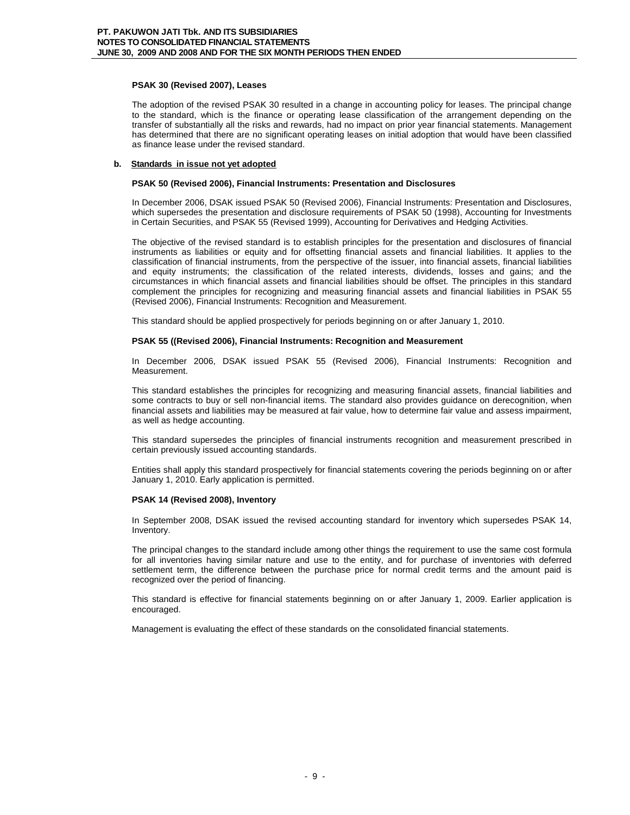# **PSAK 30 (Revised 2007), Leases**

The adoption of the revised PSAK 30 resulted in a change in accounting policy for leases. The principal change to the standard, which is the finance or operating lease classification of the arrangement depending on the transfer of substantially all the risks and rewards, had no impact on prior year financial statements. Management has determined that there are no significant operating leases on initial adoption that would have been classified as finance lease under the revised standard.

# **b. Standards in issue not yet adopted**

# **PSAK 50 (Revised 2006), Financial Instruments: Presentation and Disclosures**

In December 2006, DSAK issued PSAK 50 (Revised 2006), Financial Instruments: Presentation and Disclosures, which supersedes the presentation and disclosure requirements of PSAK 50 (1998), Accounting for Investments in Certain Securities, and PSAK 55 (Revised 1999), Accounting for Derivatives and Hedging Activities.

The objective of the revised standard is to establish principles for the presentation and disclosures of financial instruments as liabilities or equity and for offsetting financial assets and financial liabilities. It applies to the classification of financial instruments, from the perspective of the issuer, into financial assets, financial liabilities and equity instruments; the classification of the related interests, dividends, losses and gains; and the circumstances in which financial assets and financial liabilities should be offset. The principles in this standard complement the principles for recognizing and measuring financial assets and financial liabilities in PSAK 55 (Revised 2006), Financial Instruments: Recognition and Measurement.

This standard should be applied prospectively for periods beginning on or after January 1, 2010.

# **PSAK 55 ((Revised 2006), Financial Instruments: Recognition and Measurement**

In December 2006, DSAK issued PSAK 55 (Revised 2006), Financial Instruments: Recognition and Measurement.

This standard establishes the principles for recognizing and measuring financial assets, financial liabilities and some contracts to buy or sell non-financial items. The standard also provides guidance on derecognition, when financial assets and liabilities may be measured at fair value, how to determine fair value and assess impairment, as well as hedge accounting.

This standard supersedes the principles of financial instruments recognition and measurement prescribed in certain previously issued accounting standards.

Entities shall apply this standard prospectively for financial statements covering the periods beginning on or after January 1, 2010. Early application is permitted.

# **PSAK 14 (Revised 2008), Inventory**

In September 2008, DSAK issued the revised accounting standard for inventory which supersedes PSAK 14, Inventory.

The principal changes to the standard include among other things the requirement to use the same cost formula for all inventories having similar nature and use to the entity, and for purchase of inventories with deferred settlement term, the difference between the purchase price for normal credit terms and the amount paid is recognized over the period of financing.

This standard is effective for financial statements beginning on or after January 1, 2009. Earlier application is encouraged.

Management is evaluating the effect of these standards on the consolidated financial statements.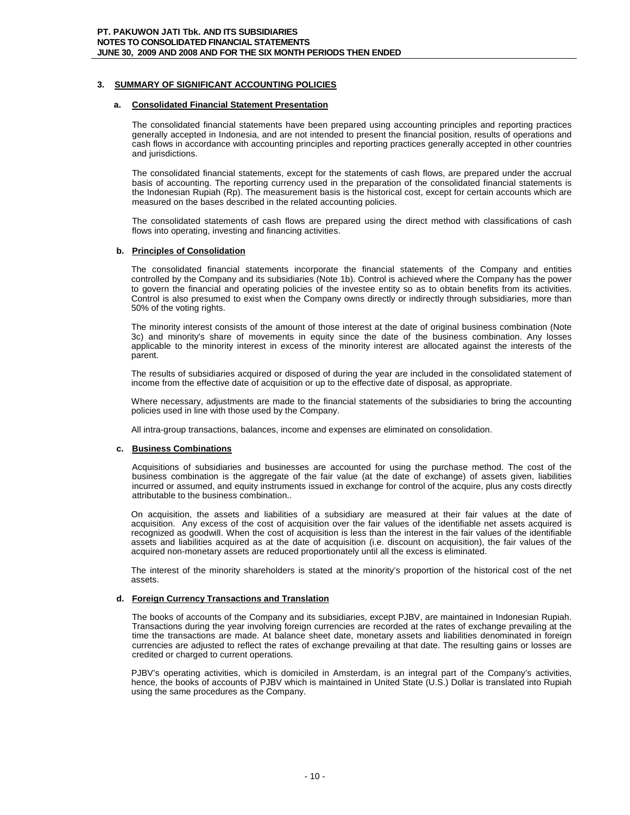# **3. SUMMARY OF SIGNIFICANT ACCOUNTING POLICIES**

### **Consolidated Financial Statement Presentation**

The consolidated financial statements have been prepared using accounting principles and reporting practices generally accepted in Indonesia, and are not intended to present the financial position, results of operations and cash flows in accordance with accounting principles and reporting practices generally accepted in other countries and jurisdictions.

The consolidated financial statements, except for the statements of cash flows, are prepared under the accrual basis of accounting. The reporting currency used in the preparation of the consolidated financial statements is the Indonesian Rupiah (Rp). The measurement basis is the historical cost, except for certain accounts which are measured on the bases described in the related accounting policies.

The consolidated statements of cash flows are prepared using the direct method with classifications of cash flows into operating, investing and financing activities.

# **b. Principles of Consolidation**

The consolidated financial statements incorporate the financial statements of the Company and entities controlled by the Company and its subsidiaries (Note 1b). Control is achieved where the Company has the power to govern the financial and operating policies of the investee entity so as to obtain benefits from its activities. Control is also presumed to exist when the Company owns directly or indirectly through subsidiaries, more than 50% of the voting rights.

The minority interest consists of the amount of those interest at the date of original business combination (Note 3c) and minority's share of movements in equity since the date of the business combination. Any losses applicable to the minority interest in excess of the minority interest are allocated against the interests of the parent.

The results of subsidiaries acquired or disposed of during the year are included in the consolidated statement of income from the effective date of acquisition or up to the effective date of disposal, as appropriate.

Where necessary, adjustments are made to the financial statements of the subsidiaries to bring the accounting policies used in line with those used by the Company.

All intra-group transactions, balances, income and expenses are eliminated on consolidation.

# **c. Business Combinations**

Acquisitions of subsidiaries and businesses are accounted for using the purchase method. The cost of the business combination is the aggregate of the fair value (at the date of exchange) of assets given, liabilities incurred or assumed, and equity instruments issued in exchange for control of the acquire, plus any costs directly attributable to the business combination..

On acquisition, the assets and liabilities of a subsidiary are measured at their fair values at the date of acquisition. Any excess of the cost of acquisition over the fair values of the identifiable net assets acquired is recognized as goodwill. When the cost of acquisition is less than the interest in the fair values of the identifiable assets and liabilities acquired as at the date of acquisition (i.e. discount on acquisition), the fair values of the acquired non-monetary assets are reduced proportionately until all the excess is eliminated.

The interest of the minority shareholders is stated at the minority's proportion of the historical cost of the net assets.

# **d. Foreign Currency Transactions and Translation**

The books of accounts of the Company and its subsidiaries, except PJBV, are maintained in Indonesian Rupiah. Transactions during the year involving foreign currencies are recorded at the rates of exchange prevailing at the time the transactions are made. At balance sheet date, monetary assets and liabilities denominated in foreign currencies are adjusted to reflect the rates of exchange prevailing at that date. The resulting gains or losses are credited or charged to current operations.

PJBV's operating activities, which is domiciled in Amsterdam, is an integral part of the Company's activities, hence, the books of accounts of PJBV which is maintained in United State (U.S.) Dollar is translated into Rupiah using the same procedures as the Company.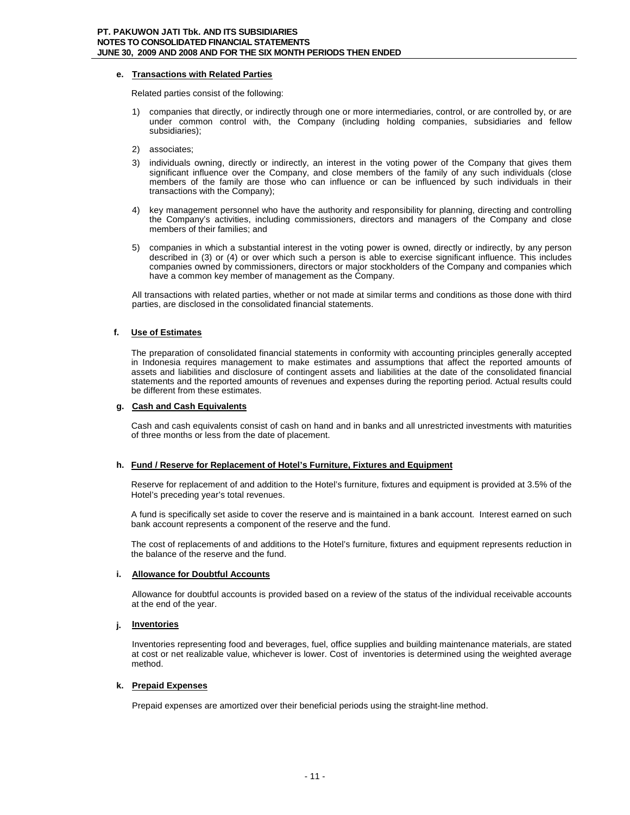# **e. Transactions with Related Parties**

Related parties consist of the following:

- 1) companies that directly, or indirectly through one or more intermediaries, control, or are controlled by, or are under common control with, the Company (including holding companies, subsidiaries and fellow subsidiaries);
- 2) associates;
- 3) individuals owning, directly or indirectly, an interest in the voting power of the Company that gives them significant influence over the Company, and close members of the family of any such individuals (close members of the family are those who can influence or can be influenced by such individuals in their transactions with the Company);
- 4) key management personnel who have the authority and responsibility for planning, directing and controlling the Company's activities, including commissioners, directors and managers of the Company and close members of their families; and
- 5) companies in which a substantial interest in the voting power is owned, directly or indirectly, by any person described in (3) or (4) or over which such a person is able to exercise significant influence. This includes companies owned by commissioners, directors or major stockholders of the Company and companies which have a common key member of management as the Company.

All transactions with related parties, whether or not made at similar terms and conditions as those done with third parties, are disclosed in the consolidated financial statements.

# **f. Use of Estimates**

The preparation of consolidated financial statements in conformity with accounting principles generally accepted in Indonesia requires management to make estimates and assumptions that affect the reported amounts of assets and liabilities and disclosure of contingent assets and liabilities at the date of the consolidated financial statements and the reported amounts of revenues and expenses during the reporting period. Actual results could be different from these estimates.

# **g. Cash and Cash Equivalents**

Cash and cash equivalents consist of cash on hand and in banks and all unrestricted investments with maturities of three months or less from the date of placement.

# **h. Fund / Reserve for Replacement of Hotel's Furniture, Fixtures and Equipment**

Reserve for replacement of and addition to the Hotel's furniture, fixtures and equipment is provided at 3.5% of the Hotel's preceding year's total revenues.

A fund is specifically set aside to cover the reserve and is maintained in a bank account. Interest earned on such bank account represents a component of the reserve and the fund.

The cost of replacements of and additions to the Hotel's furniture, fixtures and equipment represents reduction in the balance of the reserve and the fund.

# **i. Allowance for Doubtful Accounts**

Allowance for doubtful accounts is provided based on a review of the status of the individual receivable accounts at the end of the year.

# **j. Inventories**

Inventories representing food and beverages, fuel, office supplies and building maintenance materials, are stated at cost or net realizable value, whichever is lower. Cost of inventories is determined using the weighted average method.

# **k. Prepaid Expenses**

Prepaid expenses are amortized over their beneficial periods using the straight-line method.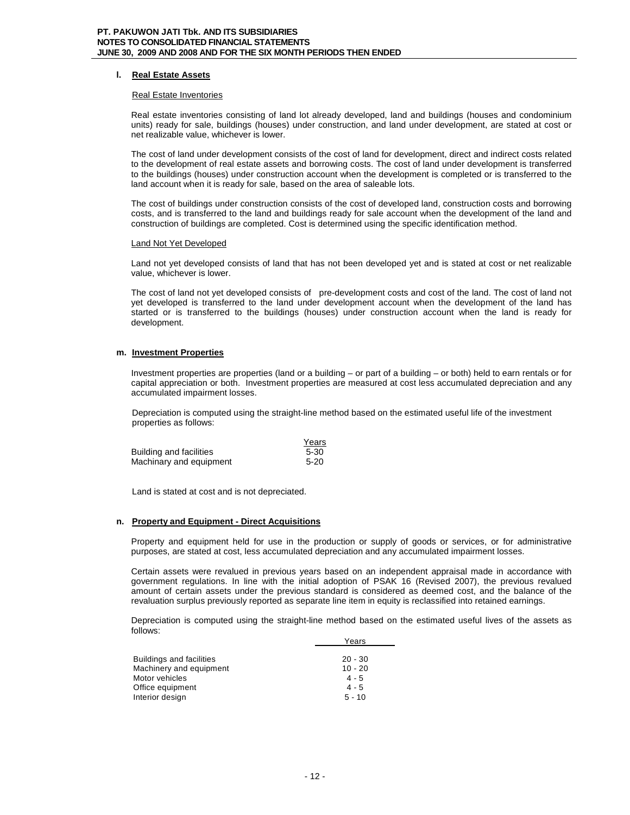# **l. Real Estate Assets**

#### Real Estate Inventories

Real estate inventories consisting of land lot already developed, land and buildings (houses and condominium units) ready for sale, buildings (houses) under construction, and land under development, are stated at cost or net realizable value, whichever is lower.

The cost of land under development consists of the cost of land for development, direct and indirect costs related to the development of real estate assets and borrowing costs. The cost of land under development is transferred to the buildings (houses) under construction account when the development is completed or is transferred to the land account when it is ready for sale, based on the area of saleable lots.

The cost of buildings under construction consists of the cost of developed land, construction costs and borrowing costs, and is transferred to the land and buildings ready for sale account when the development of the land and construction of buildings are completed. Cost is determined using the specific identification method.

#### Land Not Yet Developed

Land not yet developed consists of land that has not been developed yet and is stated at cost or net realizable value, whichever is lower.

The cost of land not yet developed consists of pre-development costs and cost of the land. The cost of land not yet developed is transferred to the land under development account when the development of the land has started or is transferred to the buildings (houses) under construction account when the land is ready for development.

# **m. Investment Properties**

Investment properties are properties (land or a building – or part of a building – or both) held to earn rentals or for capital appreciation or both. Investment properties are measured at cost less accumulated depreciation and any accumulated impairment losses.

Depreciation is computed using the straight-line method based on the estimated useful life of the investment properties as follows:

|                         | Years    |
|-------------------------|----------|
| Building and facilities | $5 - 30$ |
| Machinary and equipment | $5-20$   |

Land is stated at cost and is not depreciated.

# **n. Property and Equipment - Direct Acquisitions**

Property and equipment held for use in the production or supply of goods or services, or for administrative purposes, are stated at cost, less accumulated depreciation and any accumulated impairment losses.

Certain assets were revalued in previous years based on an independent appraisal made in accordance with government regulations. In line with the initial adoption of PSAK 16 (Revised 2007), the previous revalued amount of certain assets under the previous standard is considered as deemed cost, and the balance of the revaluation surplus previously reported as separate line item in equity is reclassified into retained earnings.

Depreciation is computed using the straight-line method based on the estimated useful lives of the assets as follows:

|                                 | Years     |
|---------------------------------|-----------|
|                                 |           |
| <b>Buildings and facilities</b> | $20 - 30$ |
| Machinery and equipment         | $10 - 20$ |
| Motor vehicles                  | $4 - 5$   |
| Office equipment                | $4 - 5$   |
| Interior design                 | $5 - 10$  |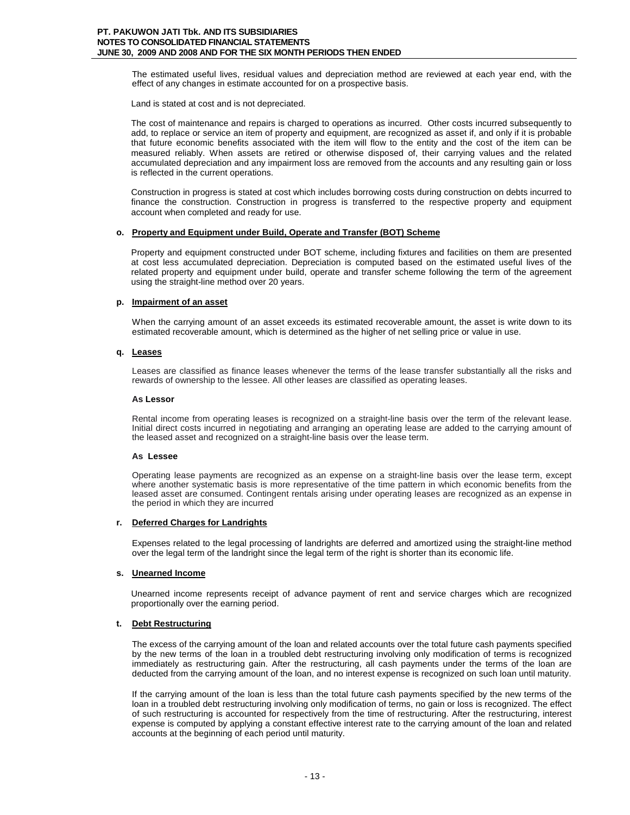The estimated useful lives, residual values and depreciation method are reviewed at each year end, with the effect of any changes in estimate accounted for on a prospective basis.

Land is stated at cost and is not depreciated.

The cost of maintenance and repairs is charged to operations as incurred. Other costs incurred subsequently to add, to replace or service an item of property and equipment, are recognized as asset if, and only if it is probable that future economic benefits associated with the item will flow to the entity and the cost of the item can be measured reliably. When assets are retired or otherwise disposed of, their carrying values and the related accumulated depreciation and any impairment loss are removed from the accounts and any resulting gain or loss is reflected in the current operations.

Construction in progress is stated at cost which includes borrowing costs during construction on debts incurred to finance the construction. Construction in progress is transferred to the respective property and equipment account when completed and ready for use.

# **o. Property and Equipment under Build, Operate and Transfer (BOT) Scheme**

Property and equipment constructed under BOT scheme, including fixtures and facilities on them are presented at cost less accumulated depreciation. Depreciation is computed based on the estimated useful lives of the related property and equipment under build, operate and transfer scheme following the term of the agreement using the straight-line method over 20 years.

#### **p. Impairment of an asset**

When the carrying amount of an asset exceeds its estimated recoverable amount, the asset is write down to its estimated recoverable amount, which is determined as the higher of net selling price or value in use.

# **q. Leases**

Leases are classified as finance leases whenever the terms of the lease transfer substantially all the risks and rewards of ownership to the lessee. All other leases are classified as operating leases.

#### **As Lessor**

Rental income from operating leases is recognized on a straight-line basis over the term of the relevant lease. Initial direct costs incurred in negotiating and arranging an operating lease are added to the carrying amount of the leased asset and recognized on a straight-line basis over the lease term.

#### **As Lessee**

Operating lease payments are recognized as an expense on a straight-line basis over the lease term, except where another systematic basis is more representative of the time pattern in which economic benefits from the leased asset are consumed. Contingent rentals arising under operating leases are recognized as an expense in the period in which they are incurred

#### **r. Deferred Charges for Landrights**

Expenses related to the legal processing of landrights are deferred and amortized using the straight-line method over the legal term of the landright since the legal term of the right is shorter than its economic life.

# **s. Unearned Income**

Unearned income represents receipt of advance payment of rent and service charges which are recognized proportionally over the earning period.

# **t. Debt Restructuring**

The excess of the carrying amount of the loan and related accounts over the total future cash payments specified by the new terms of the loan in a troubled debt restructuring involving only modification of terms is recognized immediately as restructuring gain. After the restructuring, all cash payments under the terms of the loan are deducted from the carrying amount of the loan, and no interest expense is recognized on such loan until maturity.

If the carrying amount of the loan is less than the total future cash payments specified by the new terms of the loan in a troubled debt restructuring involving only modification of terms, no gain or loss is recognized. The effect of such restructuring is accounted for respectively from the time of restructuring. After the restructuring, interest expense is computed by applying a constant effective interest rate to the carrying amount of the loan and related accounts at the beginning of each period until maturity.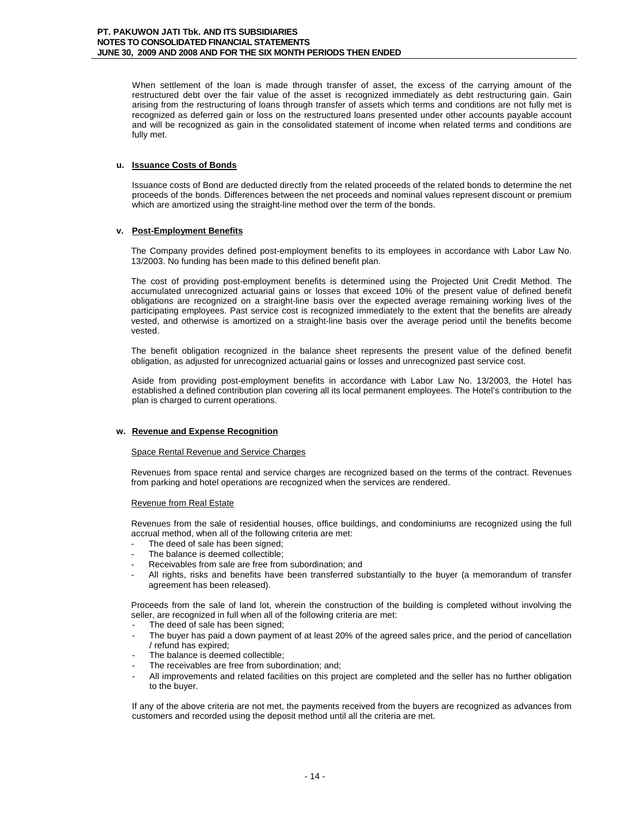When settlement of the loan is made through transfer of asset, the excess of the carrying amount of the restructured debt over the fair value of the asset is recognized immediately as debt restructuring gain. Gain arising from the restructuring of loans through transfer of assets which terms and conditions are not fully met is recognized as deferred gain or loss on the restructured loans presented under other accounts payable account and will be recognized as gain in the consolidated statement of income when related terms and conditions are fully met.

# **u. Issuance Costs of Bonds**

Issuance costs of Bond are deducted directly from the related proceeds of the related bonds to determine the net proceeds of the bonds. Differences between the net proceeds and nominal values represent discount or premium which are amortized using the straight-line method over the term of the bonds.

# **v. Post-Employment Benefits**

The Company provides defined post-employment benefits to its employees in accordance with Labor Law No. 13/2003. No funding has been made to this defined benefit plan.

The cost of providing post-employment benefits is determined using the Projected Unit Credit Method. The accumulated unrecognized actuarial gains or losses that exceed 10% of the present value of defined benefit obligations are recognized on a straight-line basis over the expected average remaining working lives of the participating employees. Past service cost is recognized immediately to the extent that the benefits are already vested, and otherwise is amortized on a straight-line basis over the average period until the benefits become vested.

The benefit obligation recognized in the balance sheet represents the present value of the defined benefit obligation, as adjusted for unrecognized actuarial gains or losses and unrecognized past service cost.

Aside from providing post-employment benefits in accordance with Labor Law No. 13/2003, the Hotel has established a defined contribution plan covering all its local permanent employees. The Hotel's contribution to the plan is charged to current operations.

# **w. Revenue and Expense Recognition**

# Space Rental Revenue and Service Charges

Revenues from space rental and service charges are recognized based on the terms of the contract. Revenues from parking and hotel operations are recognized when the services are rendered.

# Revenue from Real Estate

Revenues from the sale of residential houses, office buildings, and condominiums are recognized using the full accrual method, when all of the following criteria are met:

- The deed of sale has been signed;
- The balance is deemed collectible;
- Receivables from sale are free from subordination; and
- All rights, risks and benefits have been transferred substantially to the buyer (a memorandum of transfer agreement has been released).

Proceeds from the sale of land lot, wherein the construction of the building is completed without involving the seller, are recognized in full when all of the following criteria are met:

- The deed of sale has been signed:
- The buyer has paid a down payment of at least 20% of the agreed sales price, and the period of cancellation / refund has expired;
- The balance is deemed collectible:
- The receivables are free from subordination; and;
- All improvements and related facilities on this project are completed and the seller has no further obligation to the buyer.

If any of the above criteria are not met, the payments received from the buyers are recognized as advances from customers and recorded using the deposit method until all the criteria are met.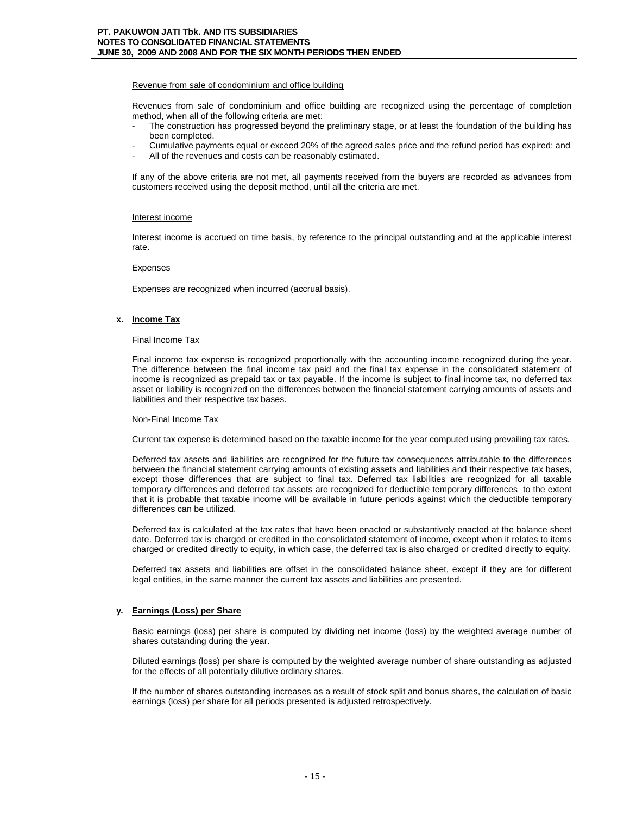# Revenue from sale of condominium and office building

Revenues from sale of condominium and office building are recognized using the percentage of completion method, when all of the following criteria are met:

- The construction has progressed beyond the preliminary stage, or at least the foundation of the building has been completed.
- Cumulative payments equal or exceed 20% of the agreed sales price and the refund period has expired; and
- All of the revenues and costs can be reasonably estimated.

If any of the above criteria are not met, all payments received from the buyers are recorded as advances from customers received using the deposit method, until all the criteria are met.

# Interest income

Interest income is accrued on time basis, by reference to the principal outstanding and at the applicable interest rate.

# Expenses

Expenses are recognized when incurred (accrual basis).

# **x. Income Tax**

#### Final Income Tax

Final income tax expense is recognized proportionally with the accounting income recognized during the year. The difference between the final income tax paid and the final tax expense in the consolidated statement of income is recognized as prepaid tax or tax payable. If the income is subject to final income tax, no deferred tax asset or liability is recognized on the differences between the financial statement carrying amounts of assets and liabilities and their respective tax bases.

# Non-Final Income Tax

Current tax expense is determined based on the taxable income for the year computed using prevailing tax rates.

Deferred tax assets and liabilities are recognized for the future tax consequences attributable to the differences between the financial statement carrying amounts of existing assets and liabilities and their respective tax bases, except those differences that are subject to final tax. Deferred tax liabilities are recognized for all taxable temporary differences and deferred tax assets are recognized for deductible temporary differences to the extent that it is probable that taxable income will be available in future periods against which the deductible temporary differences can be utilized.

Deferred tax is calculated at the tax rates that have been enacted or substantively enacted at the balance sheet date. Deferred tax is charged or credited in the consolidated statement of income, except when it relates to items charged or credited directly to equity, in which case, the deferred tax is also charged or credited directly to equity.

Deferred tax assets and liabilities are offset in the consolidated balance sheet, except if they are for different legal entities, in the same manner the current tax assets and liabilities are presented.

# **y. Earnings (Loss) per Share**

Basic earnings (loss) per share is computed by dividing net income (loss) by the weighted average number of shares outstanding during the year.

Diluted earnings (loss) per share is computed by the weighted average number of share outstanding as adjusted for the effects of all potentially dilutive ordinary shares.

If the number of shares outstanding increases as a result of stock split and bonus shares, the calculation of basic earnings (loss) per share for all periods presented is adjusted retrospectively.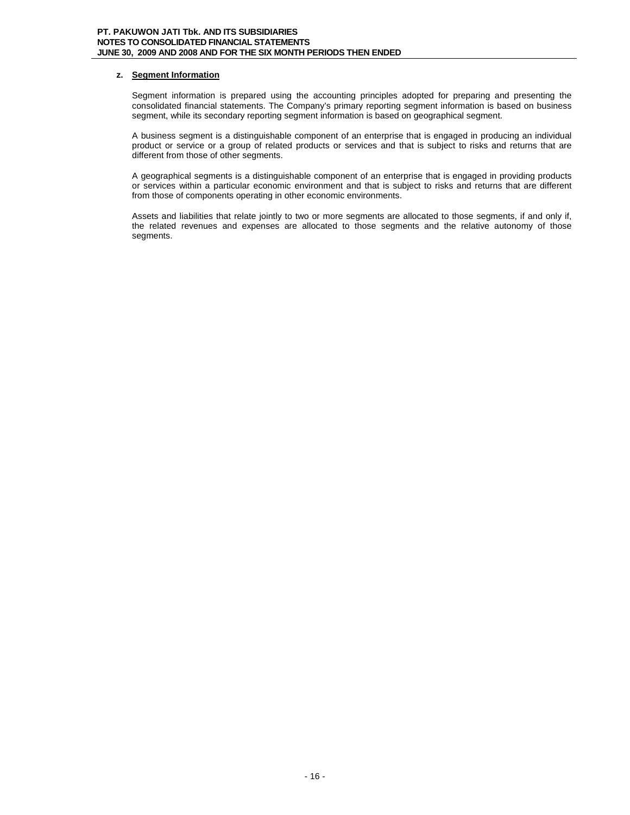# **z. Segment Information**

Segment information is prepared using the accounting principles adopted for preparing and presenting the consolidated financial statements. The Company's primary reporting segment information is based on business segment, while its secondary reporting segment information is based on geographical segment.

A business segment is a distinguishable component of an enterprise that is engaged in producing an individual product or service or a group of related products or services and that is subject to risks and returns that are different from those of other segments.

A geographical segments is a distinguishable component of an enterprise that is engaged in providing products or services within a particular economic environment and that is subject to risks and returns that are different from those of components operating in other economic environments.

Assets and liabilities that relate jointly to two or more segments are allocated to those segments, if and only if, the related revenues and expenses are allocated to those segments and the relative autonomy of those segments.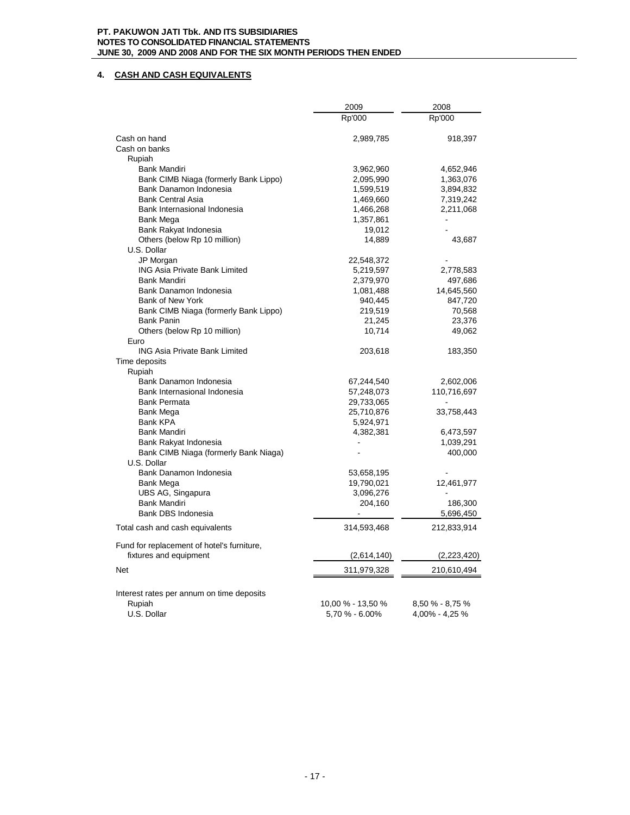# **4. CASH AND CASH EQUIVALENTS**

|                                                                | 2009              | 2008                 |
|----------------------------------------------------------------|-------------------|----------------------|
|                                                                | Rp'000            | Rp'000               |
| Cash on hand                                                   | 2,989,785         | 918,397              |
| Cash on banks                                                  |                   |                      |
| Rupiah                                                         |                   |                      |
| Bank Mandiri                                                   | 3,962,960         | 4,652,946            |
| Bank CIMB Niaga (formerly Bank Lippo)                          | 2,095,990         | 1,363,076            |
| Bank Danamon Indonesia                                         | 1,599,519         | 3,894,832            |
| <b>Bank Central Asia</b>                                       | 1,469,660         | 7,319,242            |
| Bank Internasional Indonesia                                   | 1,466,268         | 2,211,068            |
| Bank Mega                                                      | 1,357,861         |                      |
| Bank Rakyat Indonesia                                          | 19,012            |                      |
| Others (below Rp 10 million)<br>U.S. Dollar                    | 14,889            | 43,687               |
| JP Morgan                                                      | 22,548,372        |                      |
| <b>ING Asia Private Bank Limited</b>                           | 5,219,597         | 2,778,583            |
| Bank Mandiri                                                   | 2,379,970         | 497,686              |
| Bank Danamon Indonesia                                         | 1,081,488         | 14,645,560           |
| Bank of New York                                               | 940,445           | 847,720              |
| Bank CIMB Niaga (formerly Bank Lippo)                          | 219,519           | 70,568               |
| <b>Bank Panin</b>                                              | 21,245            | 23,376               |
| Others (below Rp 10 million)                                   | 10,714            | 49,062               |
| Euro                                                           |                   |                      |
| <b>ING Asia Private Bank Limited</b>                           | 203,618           | 183,350              |
| Time deposits                                                  |                   |                      |
| Rupiah                                                         |                   |                      |
| Bank Danamon Indonesia                                         | 67,244,540        | 2,602,006            |
| Bank Internasional Indonesia                                   | 57,248,073        | 110,716,697          |
| <b>Bank Permata</b>                                            | 29,733,065        |                      |
| <b>Bank Mega</b>                                               | 25,710,876        | 33,758,443           |
| <b>Bank KPA</b>                                                | 5,924,971         |                      |
| <b>Bank Mandiri</b>                                            | 4,382,381         | 6,473,597            |
| Bank Rakyat Indonesia<br>Bank CIMB Niaga (formerly Bank Niaga) |                   | 1,039,291<br>400,000 |
| U.S. Dollar                                                    |                   |                      |
| Bank Danamon Indonesia                                         | 53,658,195        |                      |
| Bank Mega                                                      | 19,790,021        | 12,461,977           |
| UBS AG, Singapura                                              | 3,096,276         |                      |
| <b>Bank Mandiri</b>                                            | 204,160           | 186,300              |
| Bank DBS Indonesia                                             |                   | 5,696,450            |
| Total cash and cash equivalents                                | 314,593,468       | 212,833,914          |
| Fund for replacement of hotel's furniture,                     |                   |                      |
| fixtures and equipment                                         | (2,614,140)       | (2,223,420)          |
| <b>Net</b>                                                     | 311,979,328       | 210,610,494          |
|                                                                |                   |                      |
| Interest rates per annum on time deposits                      |                   |                      |
| Rupiah                                                         | 10,00 % - 13,50 % | 8,50 % - 8,75 %      |
| U.S. Dollar                                                    | 5,70 % - 6.00%    | 4,00% - 4,25 %       |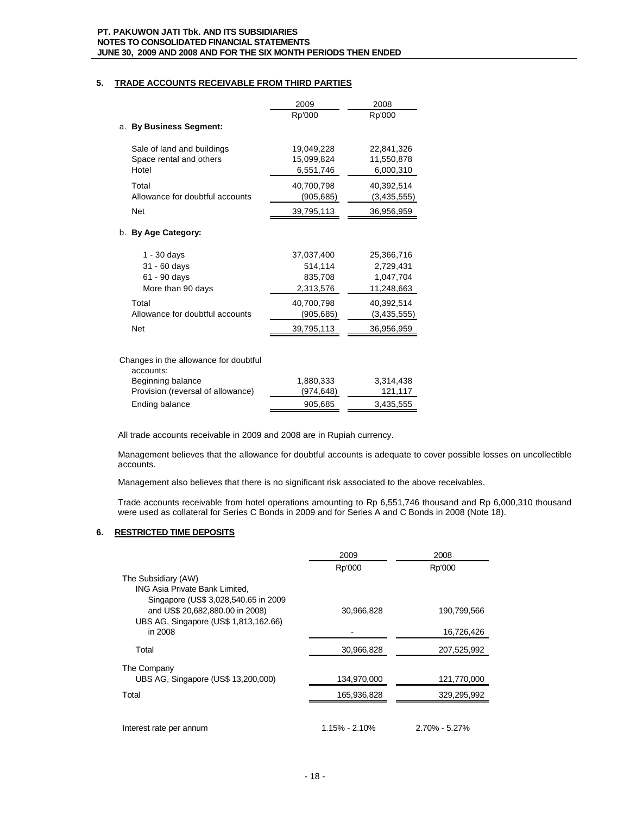# **5. TRADE ACCOUNTS RECEIVABLE FROM THIRD PARTIES**

|                                       | 2009                    | 2008                    |
|---------------------------------------|-------------------------|-------------------------|
|                                       | Rp'000                  | Rp'000                  |
| a. By Business Segment:               |                         |                         |
| Sale of land and buildings            | 19,049,228              | 22,841,326              |
| Space rental and others<br>Hotel      | 15,099,824<br>6,551,746 | 11,550,878<br>6,000,310 |
| Total                                 | 40,700,798              | 40,392,514              |
| Allowance for doubtful accounts       | (905,685)               | (3,435,555)             |
| <b>Net</b>                            | 39,795,113              | 36,956,959              |
| b. By Age Category:                   |                         |                         |
| $1 - 30$ days                         | 37,037,400              | 25,366,716              |
| 31 - 60 days                          | 514,114                 | 2,729,431               |
| 61 - 90 days                          | 835,708                 | 1,047,704               |
| More than 90 days                     | 2,313,576               | 11,248,663              |
| Total                                 | 40,700,798              | 40,392,514              |
| Allowance for doubtful accounts       | (905, 685)              | (3,435,555)             |
| <b>Net</b>                            | 39,795,113              | 36,956,959              |
| Changes in the allowance for doubtful |                         |                         |
| accounts:                             |                         |                         |
| De aliancia al Indiana de             | waan aan                | 0.011.100               |

Beginning balance 1,880,333 3,314,438 Provision (reversal of allowance) (974,648) 121,117

All trade accounts receivable in 2009 and 2008 are in Rupiah currency.

Ending balance 905,685 3,435,555

Management believes that the allowance for doubtful accounts is adequate to cover possible losses on uncollectible accounts.

Management also believes that there is no significant risk associated to the above receivables.

Trade accounts receivable from hotel operations amounting to Rp 6,551,746 thousand and Rp 6,000,310 thousand were used as collateral for Series C Bonds in 2009 and for Series A and C Bonds in 2008 (Note 18).

# **6. RESTRICTED TIME DEPOSITS**

|                                                                                                                   | 2009          | 2008              |
|-------------------------------------------------------------------------------------------------------------------|---------------|-------------------|
| The Subsidiary (AW)<br>ING Asia Private Bank Limited,                                                             | Rp'000        | Rp'000            |
| Singapore (US\$ 3,028,540.65 in 2009)<br>and US\$ 20,682,880.00 in 2008)<br>UBS AG, Singapore (US\$ 1,813,162.66) | 30,966,828    | 190.799.566       |
| in 2008                                                                                                           |               | 16,726,426        |
| Total                                                                                                             | 30,966,828    | 207,525,992       |
| The Company<br>UBS AG, Singapore (US\$ 13,200,000)                                                                | 134,970,000   | 121,770,000       |
| Total                                                                                                             | 165,936,828   | 329,295,992       |
|                                                                                                                   |               |                   |
| Interest rate per annum                                                                                           | 1.15% - 2.10% | $2.70\% - 5.27\%$ |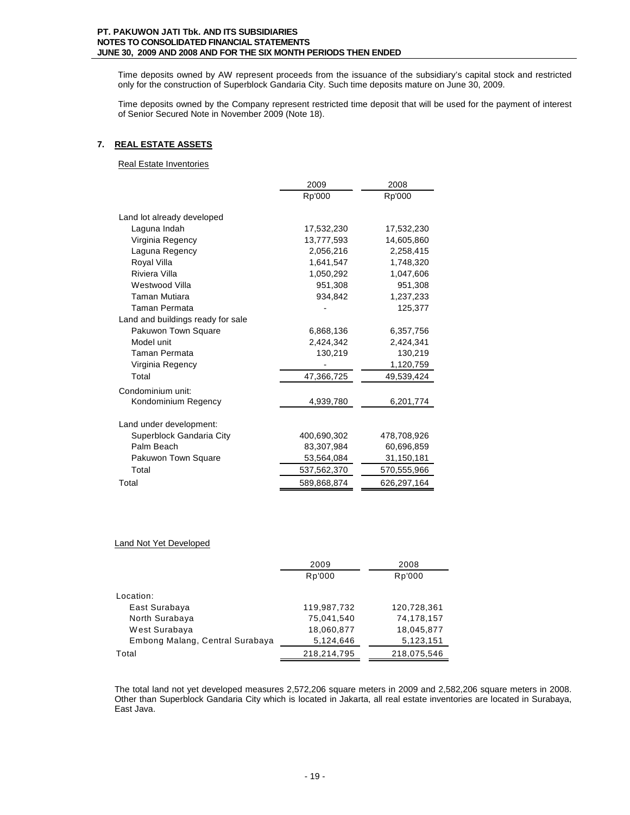Time deposits owned by AW represent proceeds from the issuance of the subsidiary's capital stock and restricted only for the construction of Superblock Gandaria City. Such time deposits mature on June 30, 2009.

Time deposits owned by the Company represent restricted time deposit that will be used for the payment of interest of Senior Secured Note in November 2009 (Note 18).

# **7. REAL ESTATE ASSETS**

Real Estate Inventories

|                                   | 2009        | 2008        |  |
|-----------------------------------|-------------|-------------|--|
|                                   | Rp'000      | Rp'000      |  |
| Land lot already developed        |             |             |  |
| Laguna Indah                      | 17,532,230  | 17,532,230  |  |
| Virginia Regency                  | 13,777,593  | 14,605,860  |  |
| Laguna Regency                    | 2,056,216   | 2.258.415   |  |
| Royal Villa                       | 1,641,547   | 1,748,320   |  |
| Riviera Villa                     | 1,050,292   | 1,047,606   |  |
| Westwood Villa                    | 951,308     | 951,308     |  |
| Taman Mutiara                     | 934,842     | 1,237,233   |  |
| Taman Permata                     |             | 125,377     |  |
| Land and buildings ready for sale |             |             |  |
| Pakuwon Town Square               | 6,868,136   | 6,357,756   |  |
| Model unit                        | 2,424,342   | 2,424,341   |  |
| Taman Permata                     | 130,219     | 130,219     |  |
| Virginia Regency                  |             | 1,120,759   |  |
| Total                             | 47,366,725  | 49,539,424  |  |
| Condominium unit:                 |             |             |  |
| Kondominium Regency               | 4,939,780   | 6,201,774   |  |
|                                   |             |             |  |
| Land under development:           |             |             |  |
| Superblock Gandaria City          | 400,690,302 | 478,708,926 |  |
| Palm Beach                        | 83,307,984  | 60,696,859  |  |
| Pakuwon Town Square               | 53,564,084  | 31,150,181  |  |
| Total                             | 537,562,370 | 570,555,966 |  |
| Total                             | 589,868,874 | 626,297,164 |  |

# Land Not Yet Developed

|                                 | 2009        | 2008        |
|---------------------------------|-------------|-------------|
|                                 | Rp'000      | Rp'000      |
| Location:                       |             |             |
|                                 |             |             |
| East Surabaya                   | 119,987,732 | 120,728,361 |
| North Surabaya                  | 75,041,540  | 74,178,157  |
| West Surabaya                   | 18,060,877  | 18,045,877  |
| Embong Malang, Central Surabaya | 5,124,646   | 5,123,151   |
| Total                           | 218,214,795 | 218,075,546 |

The total land not yet developed measures 2,572,206 square meters in 2009 and 2,582,206 square meters in 2008. Other than Superblock Gandaria City which is located in Jakarta, all real estate inventories are located in Surabaya, East Java.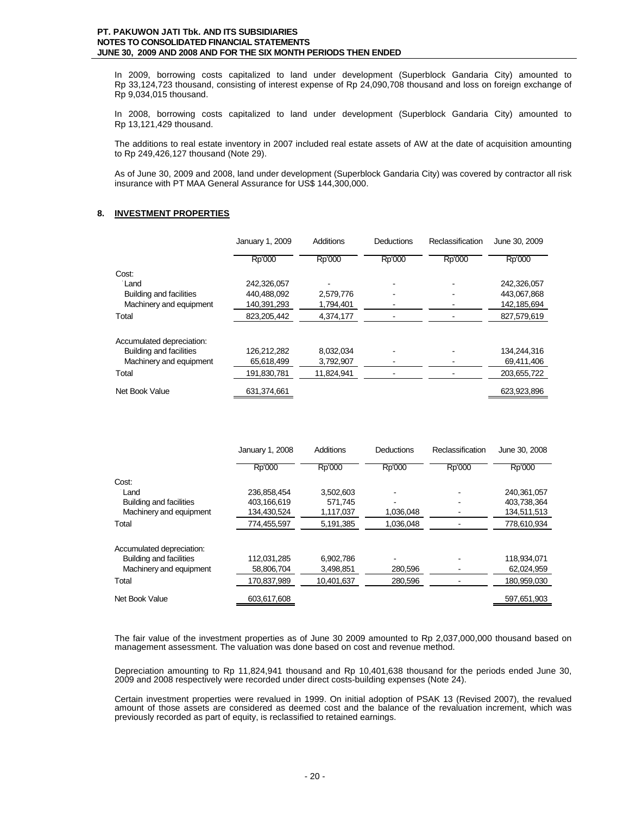In 2009, borrowing costs capitalized to land under development (Superblock Gandaria City) amounted to Rp 33,124,723 thousand, consisting of interest expense of Rp 24,090,708 thousand and loss on foreign exchange of Rp 9,034,015 thousand.

In 2008, borrowing costs capitalized to land under development (Superblock Gandaria City) amounted to Rp 13,121,429 thousand.

The additions to real estate inventory in 2007 included real estate assets of AW at the date of acquisition amounting to Rp 249,426,127 thousand (Note 29).

As of June 30, 2009 and 2008, land under development (Superblock Gandaria City) was covered by contractor all risk insurance with PT MAA General Assurance for US\$ 144,300,000.

# **8. INVESTMENT PROPERTIES**

|                                | January 1, 2009 | <b>Additions</b> | Deductions | Reclassification | June 30, 2009 |
|--------------------------------|-----------------|------------------|------------|------------------|---------------|
|                                | Rp'000          | Rp'000           | Rp'000     | Rp'000           | Rp'000        |
| Cost:                          |                 |                  |            |                  |               |
| Land                           | 242,326,057     |                  |            |                  | 242,326,057   |
| <b>Building and facilities</b> | 440.488.092     | 2,579,776        |            |                  | 443.067.868   |
| Machinery and equipment        | 140,391,293     | 1,794,401        |            |                  | 142,185,694   |
| Total                          | 823,205,442     | 4.374.177        |            |                  | 827,579,619   |
| Accumulated depreciation:      |                 |                  |            |                  |               |
| <b>Building and facilities</b> | 126.212.282     | 8.032.034        |            |                  | 134.244.316   |
| Machinery and equipment        | 65,618,499      | 3,792,907        |            |                  | 69,411,406    |
| Total                          | 191,830,781     | 11,824,941       |            |                  | 203,655,722   |
| Net Book Value                 | 631,374,661     |                  |            |                  | 623,923,896   |

|                                | January 1, 2008 | Additions  | Deductions | Reclassification | June 30, 2008 |
|--------------------------------|-----------------|------------|------------|------------------|---------------|
|                                | Rp'000          | Rp'000     | Rp'000     | <b>Rp'000</b>    | Rp'000        |
| Cost:                          |                 |            |            |                  |               |
| Land                           | 236,858,454     | 3.502.603  |            |                  | 240.361.057   |
| Building and facilities        | 403.166.619     | 571.745    |            |                  | 403.738.364   |
| Machinery and equipment        | 134,430,524     | 1,117,037  | 1,036,048  |                  | 134,511,513   |
| Total                          | 774,455,597     | 5,191,385  | 1,036,048  |                  | 778,610,934   |
| Accumulated depreciation:      |                 |            |            |                  |               |
| <b>Building and facilities</b> | 112.031.285     | 6.902.786  |            |                  | 118.934.071   |
| Machinery and equipment        | 58,806,704      | 3,498,851  | 280,596    |                  | 62,024,959    |
| Total                          | 170.837.989     | 10.401.637 | 280.596    |                  | 180.959.030   |
| Net Book Value                 | 603,617,608     |            |            |                  | 597,651,903   |

The fair value of the investment properties as of June 30 2009 amounted to Rp 2,037,000,000 thousand based on management assessment. The valuation was done based on cost and revenue method.

Depreciation amounting to Rp 11,824,941 thousand and Rp 10,401,638 thousand for the periods ended June 30, 2009 and 2008 respectively were recorded under direct costs-building expenses (Note 24).

Certain investment properties were revalued in 1999. On initial adoption of PSAK 13 (Revised 2007), the revalued amount of those assets are considered as deemed cost and the balance of the revaluation increment, which was previously recorded as part of equity, is reclassified to retained earnings.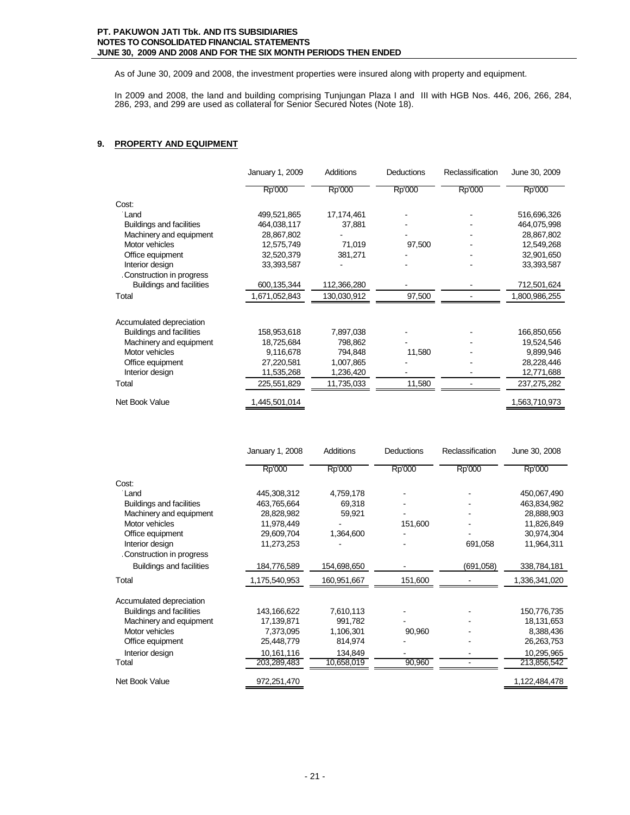As of June 30, 2009 and 2008, the investment properties were insured along with property and equipment.

In 2009 and 2008, the land and building comprising Tunjungan Plaza I and III with HGB Nos. 446, 206, 266, 284, 286, 293, and 299 are used as collateral for Senior Secured Notes (Note 18).

# **9. PROPERTY AND EQUIPMENT**

|                                 | January 1, 2009 | <b>Additions</b> | <b>Deductions</b> | Reclassification | June 30, 2009 |
|---------------------------------|-----------------|------------------|-------------------|------------------|---------------|
|                                 | Rp'000          | Rp'000           | Rp'000            | Rp'000           | Rp'000        |
| Cost:                           |                 |                  |                   |                  |               |
| Land                            | 499,521,865     | 17,174,461       |                   |                  | 516,696,326   |
| <b>Buildings and facilities</b> | 464,038,117     | 37,881           |                   |                  | 464,075,998   |
| Machinery and equipment         | 28,867,802      |                  |                   |                  | 28,867,802    |
| Motor vehicles                  | 12,575,749      | 71,019           | 97,500            |                  | 12,549,268    |
| Office equipment                | 32,520,379      | 381,271          |                   |                  | 32,901,650    |
| Interior design                 | 33,393,587      |                  |                   |                  | 33,393,587    |
| Construction in progress        |                 |                  |                   |                  |               |
| <b>Buildings and facilities</b> | 600,135,344     | 112,366,280      |                   |                  | 712,501,624   |
| Total                           | 1,671,052,843   | 130,030,912      | 97,500            |                  | 1,800,986,255 |
| Accumulated depreciation        |                 |                  |                   |                  |               |
| <b>Buildings and facilities</b> | 158,953,618     | 7,897,038        |                   |                  | 166,850,656   |
| Machinery and equipment         | 18,725,684      | 798,862          |                   |                  | 19,524,546    |
| Motor vehicles                  | 9,116,678       | 794,848          | 11,580            |                  | 9,899,946     |
| Office equipment                | 27,220,581      | 1,007,865        |                   |                  | 28,228,446    |
| Interior design                 | 11,535,268      | 1,236,420        |                   |                  | 12,771,688    |
| Total                           | 225,551,829     | 11,735,033       | 11,580            |                  | 237,275,282   |
| Net Book Value                  | 1,445,501,014   |                  |                   |                  | 1,563,710,973 |

|                                 | January 1, 2008 | Additions   | Deductions | Reclassification | June 30, 2008 |
|---------------------------------|-----------------|-------------|------------|------------------|---------------|
|                                 | Rp'000          | Rp'000      | Rp'000     | Rp'000           | Rp'000        |
| Cost:                           |                 |             |            |                  |               |
| Land                            | 445,308,312     | 4,759,178   |            |                  | 450,067,490   |
| <b>Buildings and facilities</b> | 463,765,664     | 69,318      |            |                  | 463,834,982   |
| Machinery and equipment         | 28,828,982      | 59,921      |            |                  | 28,888,903    |
| Motor vehicles                  | 11,978,449      |             | 151,600    |                  | 11,826,849    |
| Office equipment                | 29,609,704      | 1,364,600   |            |                  | 30,974,304    |
| Interior design                 | 11,273,253      |             |            | 691,058          | 11,964,311    |
| Construction in progress        |                 |             |            |                  |               |
| <b>Buildings and facilities</b> | 184,776,589     | 154,698,650 |            | (691,058)        | 338,784,181   |
| Total                           | 1,175,540,953   | 160,951,667 | 151,600    |                  | 1,336,341,020 |
| Accumulated depreciation        |                 |             |            |                  |               |
| <b>Buildings and facilities</b> | 143,166,622     | 7,610,113   |            |                  | 150,776,735   |
| Machinery and equipment         | 17,139,871      | 991,782     |            |                  | 18,131,653    |
| Motor vehicles                  | 7,373,095       | 1,106,301   | 90,960     |                  | 8,388,436     |
| Office equipment                | 25,448,779      | 814,974     |            |                  | 26,263,753    |
| Interior design                 | 10,161,116      | 134,849     |            |                  | 10,295,965    |
| Total                           | 203,289,483     | 10,658,019  | 90,960     |                  | 213,856,542   |
| Net Book Value                  | 972,251,470     |             |            |                  | 1,122,484,478 |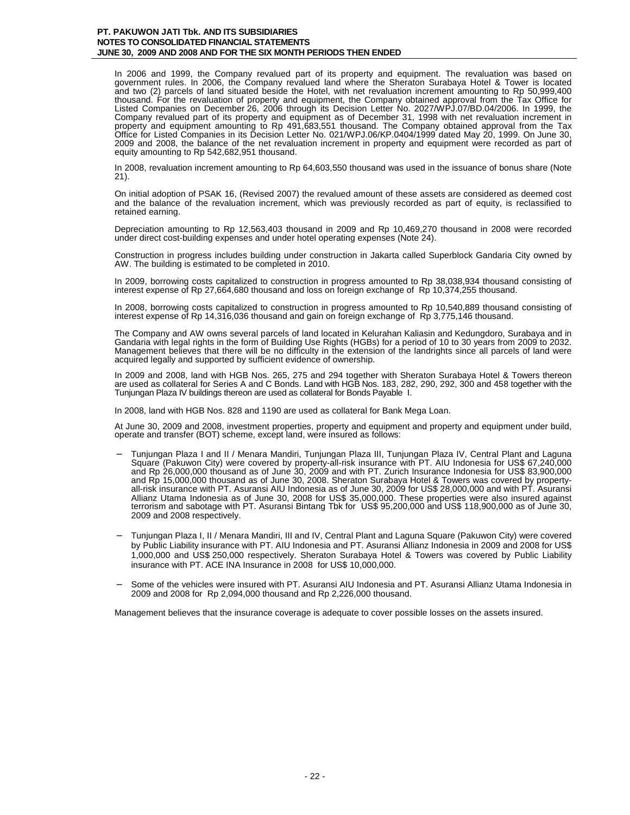In 2006 and 1999, the Company revalued part of its property and equipment. The revaluation was based on government rules. In 2006, the Company revalued land where the Sheraton Surabaya Hotel & Tower is located and two (2) parcels of land situated beside the Hotel, with net revaluation increment amounting to Rp 50,999,400 thousand. For the revaluation of property and equipment, the Company obtained approval from the Tax Office for Listed Companies on December 26, 2006 through its Decision Letter No. 2027/WPJ.07/BD.04/2006. In 1999, the Company revalued part of its property and equipment as of December 31, 1998 with net revaluation increment in property and equipment amounting to Rp 491,683,551 thousand. The Company obtained approval from the Tax Office for Listed Companies in its Decision Letter No. 021/WPJ.06/KP.0404/1999 dated May 20, 1999. On June 30, 2009 and 2008, the balance of the net revaluation increment in property and equipment were recorded as part of equity amounting to Rp 542,682,951 thousand.

In 2008, revaluation increment amounting to Rp 64,603,550 thousand was used in the issuance of bonus share (Note 21).

On initial adoption of PSAK 16, (Revised 2007) the revalued amount of these assets are considered as deemed cost and the balance of the revaluation increment, which was previously recorded as part of equity, is reclassified to retained earning.

Depreciation amounting to Rp 12,563,403 thousand in 2009 and Rp 10,469,270 thousand in 2008 were recorded under direct cost-building expenses and under hotel operating expenses (Note 24).

Construction in progress includes building under construction in Jakarta called Superblock Gandaria City owned by AW. The building is estimated to be completed in 2010.

In 2009, borrowing costs capitalized to construction in progress amounted to Rp 38,038,934 thousand consisting of interest expense of Rp 27,664,680 thousand and loss on foreign exchange of Rp 10,374,255 thousand.

In 2008, borrowing costs capitalized to construction in progress amounted to Rp 10,540,889 thousand consisting of interest expense of Rp 14,316,036 thousand and gain on foreign exchange of Rp 3,775,146 thousand.

The Company and AW owns several parcels of land located in Kelurahan Kaliasin and Kedungdoro, Surabaya and in Gandaria with legal rights in the form of Building Use Rights (HGBs) for a period of 10 to 30 years from 2009 to 2032. Management believes that there will be no difficulty in the extension of the landrights since all parcels of land were acquired legally and supported by sufficient evidence of ownership.

In 2009 and 2008, land with HGB Nos. 265, 275 and 294 together with Sheraton Surabaya Hotel & Towers thereon are used as collateral for Series A and C Bonds. Land with HGB Nos. 183, 282, 290, 292, 300 and 458 together with the Tunjungan Plaza IV buildings thereon are used as collateral for Bonds Payable I.

In 2008, land with HGB Nos. 828 and 1190 are used as collateral for Bank Mega Loan.

At June 30, 2009 and 2008, investment properties, property and equipment and property and equipment under build, operate and transfer (BOT) scheme, except land, were insured as follows:

- − Tunjungan Plaza I and II / Menara Mandiri, Tunjungan Plaza III, Tunjungan Plaza IV, Central Plant and Laguna Square (Pakuwon City) were covered by property-all-risk insurance with PT. AIU Indonesia for US\$ 67,240,000 and Rp 26,000,000 thousand as of June 30, 2009 and with PT. Zurich Insurance Indonesia for US\$ 83,900,000 and Rp 15,000,000 thousand as of June 30, 2008. Sheraton Surabaya Hotel & Towers was covered by propertyall-risk insurance with PT. Asuransi AIU Indonesia as of June 30, 2009 for US\$ 28,000,000 and with PT. Asuransi Allianz Utama Indonesia as of June 30, 2008 for US\$ 35,000,000. These properties were also insured against terrorism and sabotage with PT. Asuransi Bintang Tbk for US\$ 95,200,000 and US\$ 118,900,000 as of June 30, 2009 and 2008 respectively.
- − Tunjungan Plaza I, II / Menara Mandiri, III and IV, Central Plant and Laguna Square (Pakuwon City) were covered by Public Liability insurance with PT. AIU Indonesia and PT. Asuransi Allianz Indonesia in 2009 and 2008 for US\$ 1,000,000 and US\$ 250,000 respectively. Sheraton Surabaya Hotel & Towers was covered by Public Liability insurance with PT. ACE INA Insurance in 2008 for US\$ 10,000,000.
- Some of the vehicles were insured with PT. Asuransi AIU Indonesia and PT. Asuransi Allianz Utama Indonesia in 2009 and 2008 for Rp 2,094,000 thousand and Rp 2,226,000 thousand.

Management believes that the insurance coverage is adequate to cover possible losses on the assets insured.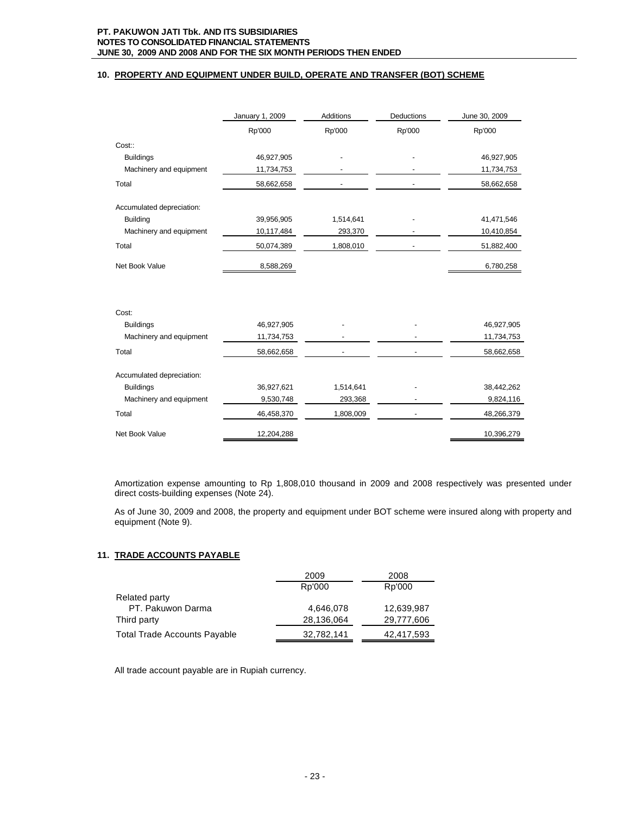# **10. PROPERTY AND EQUIPMENT UNDER BUILD, OPERATE AND TRANSFER (BOT) SCHEME**

|                           | January 1, 2009 | <b>Additions</b> | Deductions | June 30, 2009 |
|---------------------------|-----------------|------------------|------------|---------------|
|                           | Rp'000          | Rp'000           | Rp'000     | Rp'000        |
| Cost::                    |                 |                  |            |               |
| <b>Buildings</b>          | 46,927,905      |                  |            | 46,927,905    |
| Machinery and equipment   | 11,734,753      |                  |            | 11,734,753    |
| Total                     | 58,662,658      |                  |            | 58,662,658    |
| Accumulated depreciation: |                 |                  |            |               |
| <b>Building</b>           | 39,956,905      | 1,514,641        |            | 41,471,546    |
| Machinery and equipment   | 10,117,484      | 293,370          |            | 10,410,854    |
| Total                     | 50,074,389      | 1,808,010        |            | 51,882,400    |
| Net Book Value            | 8,588,269       |                  |            | 6,780,258     |
|                           |                 |                  |            |               |
| Cost:                     |                 |                  |            |               |
| <b>Buildings</b>          | 46,927,905      |                  |            | 46,927,905    |
| Machinery and equipment   | 11,734,753      |                  |            | 11,734,753    |
| Total                     | 58,662,658      |                  |            | 58,662,658    |
| Accumulated depreciation: |                 |                  |            |               |
| <b>Buildings</b>          | 36,927,621      | 1,514,641        |            | 38,442,262    |
| Machinery and equipment   | 9,530,748       | 293,368          |            | 9,824,116     |
| Total                     | 46,458,370      | 1,808,009        |            | 48,266,379    |
| Net Book Value            | 12,204,288      |                  |            | 10,396,279    |

Amortization expense amounting to Rp 1,808,010 thousand in 2009 and 2008 respectively was presented under direct costs-building expenses (Note 24).

As of June 30, 2009 and 2008, the property and equipment under BOT scheme were insured along with property and equipment (Note 9).

# **11. TRADE ACCOUNTS PAYABLE**

|                                     | 2009       | 2008       |
|-------------------------------------|------------|------------|
|                                     | Rp'000     | Rp'000     |
| Related party                       |            |            |
| PT. Pakuwon Darma                   | 4,646,078  | 12,639,987 |
| Third party                         | 28,136,064 | 29,777,606 |
| <b>Total Trade Accounts Payable</b> | 32,782,141 | 42,417,593 |

All trade account payable are in Rupiah currency.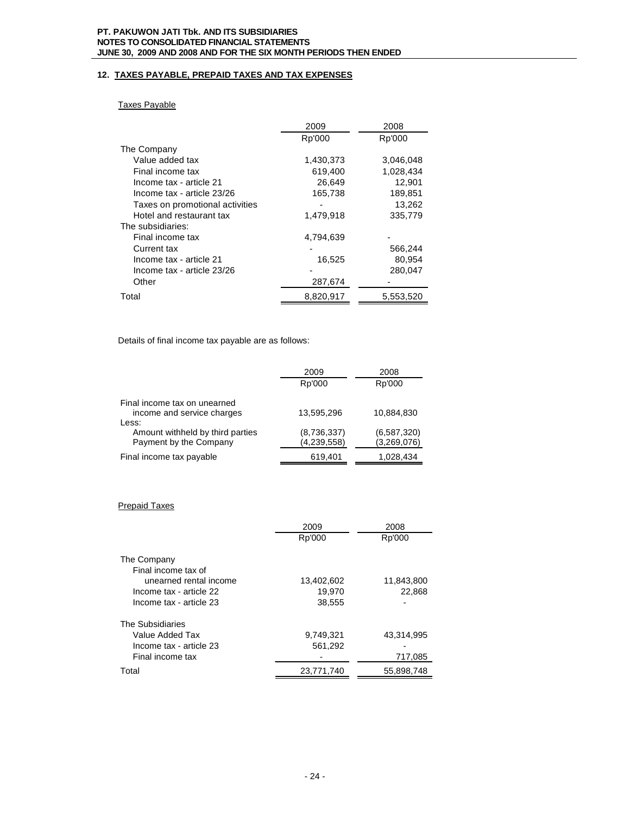# **12. TAXES PAYABLE, PREPAID TAXES AND TAX EXPENSES**

# Taxes Payable

|                                 | 2009      | 2008      |
|---------------------------------|-----------|-----------|
|                                 | Rp'000    | Rp'000    |
| The Company                     |           |           |
| Value added tax                 | 1,430,373 | 3,046,048 |
| Final income tax                | 619,400   | 1,028,434 |
| Income tax - article 21         | 26,649    | 12,901    |
| Income tax - article 23/26      | 165,738   | 189,851   |
| Taxes on promotional activities |           | 13,262    |
| Hotel and restaurant tax        | 1,479,918 | 335,779   |
| The subsidiaries:               |           |           |
| Final income tax                | 4,794,639 |           |
| Current tax                     |           | 566,244   |
| Income tax - article 21         | 16,525    | 80,954    |
| Income tax - article 23/26      |           | 280,047   |
| Other                           | 287,674   |           |
| Total                           | 8,820,917 | 5,553,520 |

Details of final income tax payable are as follows:

| 2009        | 2008        |
|-------------|-------------|
| Rp'000      | Rp'000      |
|             |             |
| 13.595.296  | 10,884,830  |
|             |             |
| (8,736,337) | (6,587,320) |
| (4,239,558) | (3,269,076) |
| 619,401     | 1,028,434   |
|             |             |

# Prepaid Taxes

|                         | 2009       | 2008       |
|-------------------------|------------|------------|
|                         | Rp'000     | Rp'000     |
| The Company             |            |            |
|                         |            |            |
| Final income tax of     |            |            |
| unearned rental income  | 13,402,602 | 11,843,800 |
| Income tax - article 22 | 19,970     | 22,868     |
| Income tax - article 23 | 38,555     |            |
| The Subsidiaries        |            |            |
| Value Added Tax         | 9,749,321  | 43,314,995 |
| Income tax - article 23 | 561,292    |            |
| Final income tax        |            | 717,085    |
| Total                   | 23.771.740 | 55.898.748 |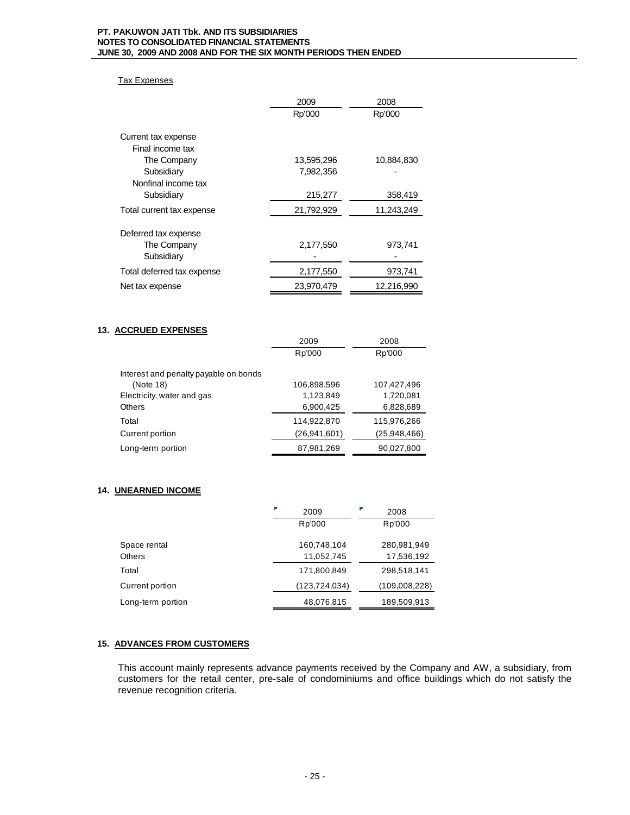# Tax Expenses

|                            | 2009       | 2008       |  |
|----------------------------|------------|------------|--|
|                            | Rp'000     | Rp'000     |  |
|                            |            |            |  |
| Current tax expense        |            |            |  |
| Final income tax           |            |            |  |
| The Company                | 13,595,296 | 10,884,830 |  |
| Subsidiary                 | 7,982,356  |            |  |
| Nonfinal income tax        |            |            |  |
| Subsidiary                 | 215,277    | 358,419    |  |
| Total current tax expense  | 21,792,929 | 11,243,249 |  |
| Deferred tax expense       |            |            |  |
|                            |            |            |  |
| The Company                | 2,177,550  | 973,741    |  |
| Subsidiary                 |            |            |  |
| Total deferred tax expense | 2,177,550  | 973,741    |  |
| Net tax expense            | 23,970,479 | 12,216,990 |  |

# **13. ACCRUED EXPENSES**

|                                       | 2009           | 2008         |
|---------------------------------------|----------------|--------------|
|                                       | Rp'000         | Rp'000       |
| Interest and penalty payable on bonds |                |              |
| (Note 18)                             | 106,898,596    | 107,427,496  |
| Electricity, water and gas            | 1,123,849      | 1,720,081    |
| <b>Others</b>                         | 6,900,425      | 6,828,689    |
| Total                                 | 114,922,870    | 115,976,266  |
| Current portion                       | (26, 941, 601) | (25,948,466) |
| Long-term portion                     | 87,981,269     | 90,027,800   |

# **14. UNEARNED INCOME**

|                   | ₽<br>2009       | 2008          |  |
|-------------------|-----------------|---------------|--|
|                   | Rp'000          | Rp'000        |  |
| Space rental      | 160,748,104     | 280,981,949   |  |
| Others            | 11,052,745      | 17,536,192    |  |
| Total             | 171,800,849     | 298,518,141   |  |
| Current portion   | (123, 724, 034) | (109,008,228) |  |
| Long-term portion | 48,076,815      | 189,509,913   |  |

# **15. ADVANCES FROM CUSTOMERS**

This account mainly represents advance payments received by the Company and AW, a subsidiary, from customers for the retail center, pre-sale of condominiums and office buildings which do not satisfy the revenue recognition criteria.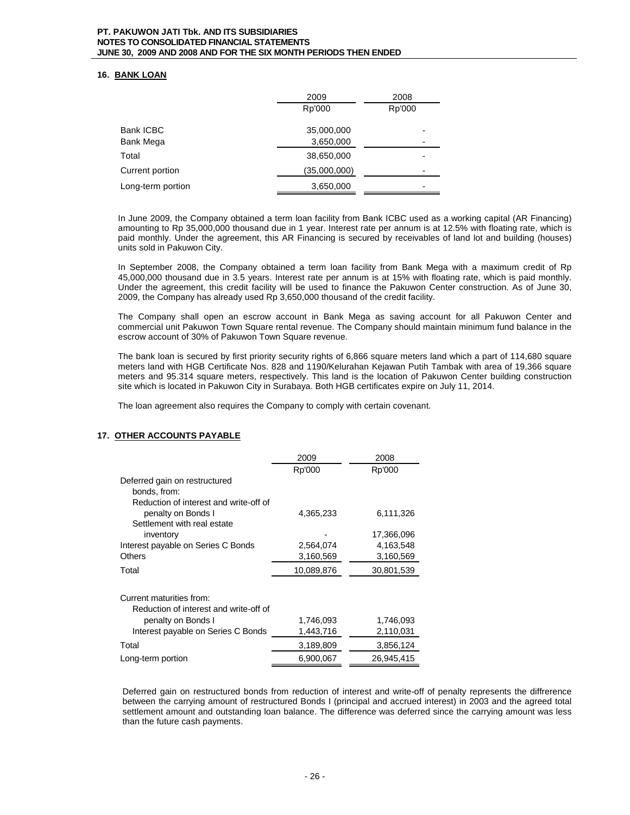# **16. BANK LOAN**

|                   | 2009         | 2008   |  |
|-------------------|--------------|--------|--|
|                   | Rp'000       | Rp'000 |  |
| <b>Bank ICBC</b>  | 35,000,000   | -      |  |
| Bank Mega         | 3,650,000    | ۰      |  |
| Total             | 38,650,000   | -      |  |
| Current portion   | (35,000,000) | ۰      |  |
| Long-term portion | 3,650,000    | ۰      |  |

In June 2009, the Company obtained a term loan facility from Bank ICBC used as a working capital (AR Financing) amounting to Rp 35,000,000 thousand due in 1 year. Interest rate per annum is at 12.5% with floating rate, which is paid monthly. Under the agreement, this AR Financing is secured by receivables of land lot and building (houses) units sold in Pakuwon City.

In September 2008, the Company obtained a term loan facility from Bank Mega with a maximum credit of Rp 45,000,000 thousand due in 3.5 years. Interest rate per annum is at 15% with floating rate, which is paid monthly. Under the agreement, this credit facility will be used to finance the Pakuwon Center construction. As of June 30, 2009, the Company has already used Rp 3,650,000 thousand of the credit facility.

The Company shall open an escrow account in Bank Mega as saving account for all Pakuwon Center and commercial unit Pakuwon Town Square rental revenue. The Company should maintain minimum fund balance in the escrow account of 30% of Pakuwon Town Square revenue.

The bank loan is secured by first priority security rights of 6,866 square meters land which a part of 114,680 square meters land with HGB Certificate Nos. 828 and 1190/Kelurahan Kejawan Putih Tambak with area of 19,366 square meters and 95.314 square meters, respectively. This land is the location of Pakuwon Center building construction site which is located in Pakuwon City in Surabaya. Both HGB certificates expire on July 11, 2014.

The loan agreement also requires the Company to comply with certain covenant.

# **17. OTHER ACCOUNTS PAYABLE**

|                                        | 2009       | 2008       |
|----------------------------------------|------------|------------|
|                                        | Rp'000     | Rp'000     |
| Deferred gain on restructured          |            |            |
| bonds, from:                           |            |            |
| Reduction of interest and write-off of |            |            |
| penalty on Bonds I                     | 4,365,233  | 6,111,326  |
| Settlement with real estate            |            |            |
| inventory                              |            | 17,366,096 |
| Interest payable on Series C Bonds     | 2,564,074  | 4,163,548  |
| <b>Others</b>                          | 3,160,569  | 3,160,569  |
| Total                                  | 10,089,876 | 30,801,539 |
|                                        |            |            |
| Current maturities from:               |            |            |
| Reduction of interest and write-off of |            |            |
| penalty on Bonds I                     | 1,746,093  | 1,746,093  |
| Interest payable on Series C Bonds     | 1,443,716  | 2,110,031  |
| Total                                  | 3,189,809  | 3,856,124  |
| Long-term portion                      | 6,900,067  | 26.945.415 |

Deferred gain on restructured bonds from reduction of interest and write-off of penalty represents the diffrerence between the carrying amount of restructured Bonds I (principal and accrued interest) in 2003 and the agreed total settlement amount and outstanding loan balance. The difference was deferred since the carrying amount was less than the future cash payments.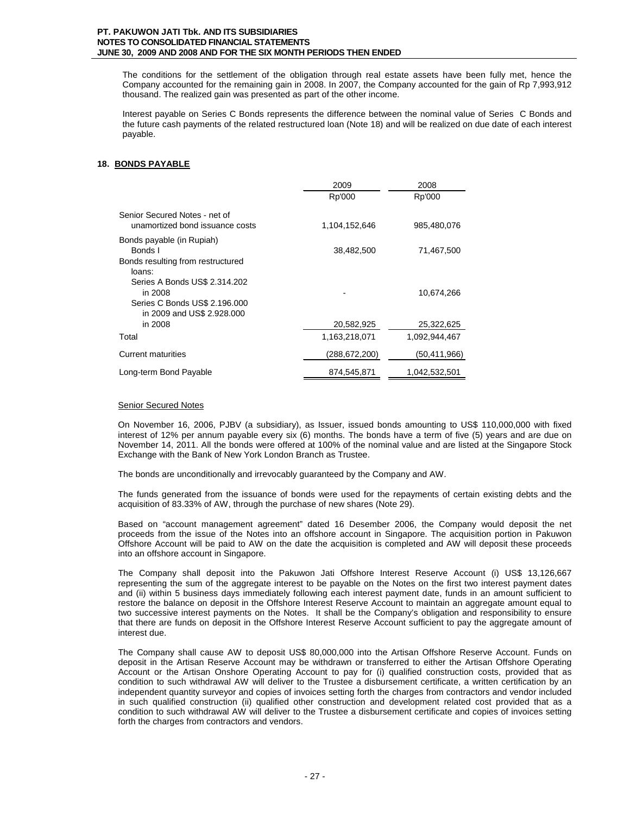The conditions for the settlement of the obligation through real estate assets have been fully met, hence the Company accounted for the remaining gain in 2008. In 2007, the Company accounted for the gain of Rp 7,993,912 thousand. The realized gain was presented as part of the other income.

Interest payable on Series C Bonds represents the difference between the nominal value of Series C Bonds and the future cash payments of the related restructured loan (Note 18) and will be realized on due date of each interest payable.

# **18. BONDS PAYABLE**

|                                                                                                         | 2009            | 2008          |
|---------------------------------------------------------------------------------------------------------|-----------------|---------------|
|                                                                                                         | Rp'000          | Rp'000        |
| Senior Secured Notes - net of<br>unamortized bond issuance costs                                        | 1,104,152,646   | 985,480,076   |
| Bonds payable (in Rupiah)<br>Bonds I<br>Bonds resulting from restructured<br>loans:                     | 38,482,500      | 71,467,500    |
| Series A Bonds US\$ 2.314.202<br>in 2008<br>Series C Bonds US\$ 2.196.000<br>in 2009 and US\$ 2.928.000 |                 | 10,674,266    |
| in 2008                                                                                                 | 20,582,925      | 25,322,625    |
| Total                                                                                                   | 1,163,218,071   | 1,092,944,467 |
| <b>Current maturities</b>                                                                               | (288, 672, 200) | (50,411,966)  |
| Long-term Bond Payable                                                                                  | 874,545,871     | 1,042,532,501 |

#### Senior Secured Notes

On November 16, 2006, PJBV (a subsidiary), as Issuer, issued bonds amounting to US\$ 110,000,000 with fixed interest of 12% per annum payable every six (6) months. The bonds have a term of five (5) years and are due on November 14, 2011. All the bonds were offered at 100% of the nominal value and are listed at the Singapore Stock Exchange with the Bank of New York London Branch as Trustee.

The bonds are unconditionally and irrevocably guaranteed by the Company and AW.

The funds generated from the issuance of bonds were used for the repayments of certain existing debts and the acquisition of 83.33% of AW, through the purchase of new shares (Note 29).

Based on "account management agreement" dated 16 Desember 2006, the Company would deposit the net proceeds from the issue of the Notes into an offshore account in Singapore. The acquisition portion in Pakuwon Offshore Account will be paid to AW on the date the acquisition is completed and AW will deposit these proceeds into an offshore account in Singapore.

The Company shall deposit into the Pakuwon Jati Offshore Interest Reserve Account (i) US\$ 13,126,667 representing the sum of the aggregate interest to be payable on the Notes on the first two interest payment dates and (ii) within 5 business days immediately following each interest payment date, funds in an amount sufficient to restore the balance on deposit in the Offshore Interest Reserve Account to maintain an aggregate amount equal to two successive interest payments on the Notes. It shall be the Company's obligation and responsibility to ensure that there are funds on deposit in the Offshore Interest Reserve Account sufficient to pay the aggregate amount of interest due.

The Company shall cause AW to deposit US\$ 80,000,000 into the Artisan Offshore Reserve Account. Funds on deposit in the Artisan Reserve Account may be withdrawn or transferred to either the Artisan Offshore Operating Account or the Artisan Onshore Operating Account to pay for (i) qualified construction costs, provided that as condition to such withdrawal AW will deliver to the Trustee a disbursement certificate, a written certification by an independent quantity surveyor and copies of invoices setting forth the charges from contractors and vendor included in such qualified construction (ii) qualified other construction and development related cost provided that as a condition to such withdrawal AW will deliver to the Trustee a disbursement certificate and copies of invoices setting forth the charges from contractors and vendors.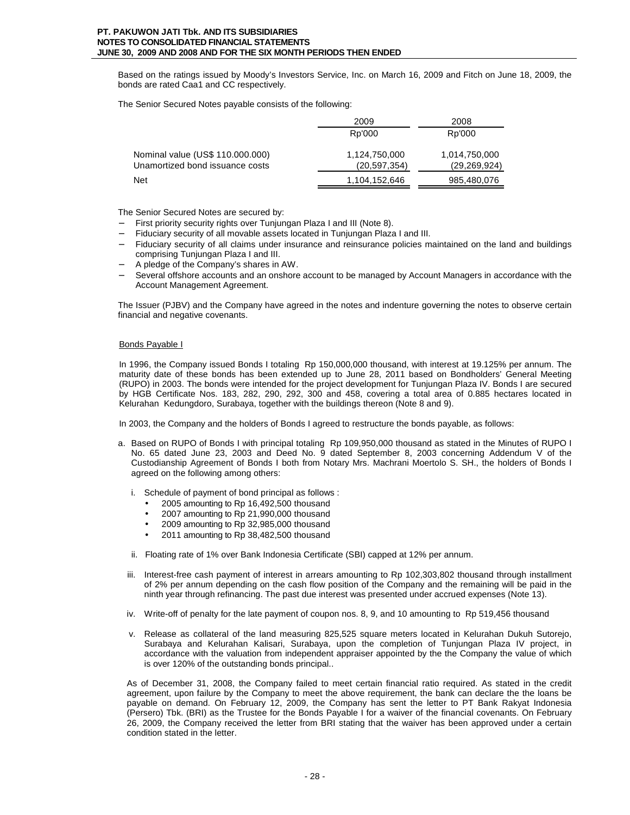Based on the ratings issued by Moody's Investors Service, Inc. on March 16, 2009 and Fitch on June 18, 2009, the bonds are rated Caa1 and CC respectively.

The Senior Secured Notes payable consists of the following:

|                                  | 2009          | 2008           |  |
|----------------------------------|---------------|----------------|--|
|                                  | Rp'000        | Rp'000         |  |
| Nominal value (US\$ 110.000.000) | 1,124,750,000 | 1,014,750,000  |  |
| Unamortized bond issuance costs  | (20.597.354)  | (29, 269, 924) |  |
| <b>Net</b>                       | 1,104,152,646 | 985,480,076    |  |

The Senior Secured Notes are secured by:

- First priority security rights over Tunjungan Plaza I and III (Note 8).
- − Fiduciary security of all movable assets located in Tunjungan Plaza I and III.
- Fiduciary security of all claims under insurance and reinsurance policies maintained on the land and buildings comprising Tunjungan Plaza I and III.
- − A pledge of the Company's shares in AW.
- Several offshore accounts and an onshore account to be managed by Account Managers in accordance with the Account Management Agreement.

The Issuer (PJBV) and the Company have agreed in the notes and indenture governing the notes to observe certain financial and negative covenants.

#### Bonds Payable I

In 1996, the Company issued Bonds I totaling Rp 150,000,000 thousand, with interest at 19.125% per annum. The maturity date of these bonds has been extended up to June 28, 2011 based on Bondholders' General Meeting (RUPO) in 2003. The bonds were intended for the project development for Tunjungan Plaza IV. Bonds I are secured by HGB Certificate Nos. 183, 282, 290, 292, 300 and 458, covering a total area of 0.885 hectares located in Kelurahan Kedungdoro, Surabaya, together with the buildings thereon (Note 8 and 9).

In 2003, the Company and the holders of Bonds I agreed to restructure the bonds payable, as follows:

- a. Based on RUPO of Bonds I with principal totaling Rp 109,950,000 thousand as stated in the Minutes of RUPO I No. 65 dated June 23, 2003 and Deed No. 9 dated September 8, 2003 concerning Addendum V of the Custodianship Agreement of Bonds I both from Notary Mrs. Machrani Moertolo S. SH., the holders of Bonds I agreed on the following among others:
	- i. Schedule of payment of bond principal as follows :
		- 2005 amounting to Rp 16,492,500 thousand
		- 2007 amounting to Rp 21,990,000 thousand
		- 2009 amounting to Rp 32,985,000 thousand
		- 2011 amounting to Rp 38,482,500 thousand
	- ii. Floating rate of 1% over Bank Indonesia Certificate (SBI) capped at 12% per annum.
	- iii. Interest-free cash payment of interest in arrears amounting to Rp 102,303,802 thousand through installment of 2% per annum depending on the cash flow position of the Company and the remaining will be paid in the ninth year through refinancing. The past due interest was presented under accrued expenses (Note 13).
	- iv. Write-off of penalty for the late payment of coupon nos. 8, 9, and 10 amounting to Rp 519,456 thousand
	- v. Release as collateral of the land measuring 825,525 square meters located in Kelurahan Dukuh Sutorejo, Surabaya and Kelurahan Kalisari, Surabaya, upon the completion of Tunjungan Plaza IV project, in accordance with the valuation from independent appraiser appointed by the the Company the value of which is over 120% of the outstanding bonds principal..

As of December 31, 2008, the Company failed to meet certain financial ratio required. As stated in the credit agreement, upon failure by the Company to meet the above requirement, the bank can declare the the loans be payable on demand. On February 12, 2009, the Company has sent the letter to PT Bank Rakyat Indonesia (Persero) Tbk. (BRI) as the Trustee for the Bonds Payable I for a waiver of the financial covenants. On February 26, 2009, the Company received the letter from BRI stating that the waiver has been approved under a certain condition stated in the letter.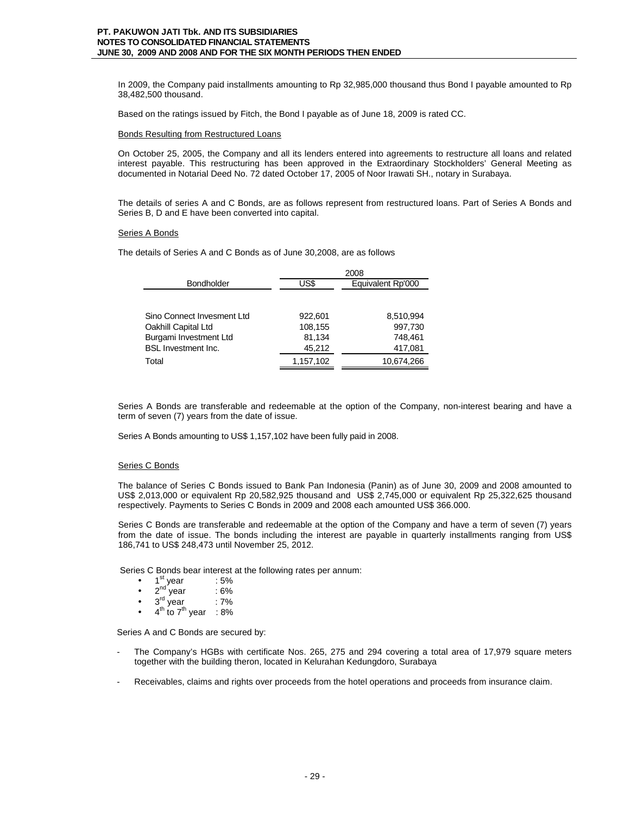In 2009, the Company paid installments amounting to Rp 32,985,000 thousand thus Bond I payable amounted to Rp 38,482,500 thousand.

Based on the ratings issued by Fitch, the Bond I payable as of June 18, 2009 is rated CC.

#### Bonds Resulting from Restructured Loans

On October 25, 2005, the Company and all its lenders entered into agreements to restructure all loans and related interest payable. This restructuring has been approved in the Extraordinary Stockholders' General Meeting as documented in Notarial Deed No. 72 dated October 17, 2005 of Noor Irawati SH., notary in Surabaya.

The details of series A and C Bonds, are as follows represent from restructured loans. Part of Series A Bonds and Series B, D and E have been converted into capital.

# Series A Bonds

The details of Series A and C Bonds as of June 30,2008, are as follows

|                            | 2008      |                   |  |
|----------------------------|-----------|-------------------|--|
| <b>Bondholder</b>          | US\$      | Equivalent Rp'000 |  |
|                            |           |                   |  |
| Sino Connect Invesment Ltd | 922.601   | 8,510,994         |  |
| Oakhill Capital Ltd        | 108,155   | 997,730           |  |
| Burgami Investment Ltd     | 81,134    | 748.461           |  |
| <b>BSL Investment Inc.</b> | 45,212    | 417,081           |  |
| Total                      | 1,157,102 | 10,674,266        |  |

Series A Bonds are transferable and redeemable at the option of the Company, non-interest bearing and have a term of seven (7) years from the date of issue.

Series A Bonds amounting to US\$ 1,157,102 have been fully paid in 2008.

# Series C Bonds

The balance of Series C Bonds issued to Bank Pan Indonesia (Panin) as of June 30, 2009 and 2008 amounted to US\$ 2,013,000 or equivalent Rp 20,582,925 thousand and US\$ 2,745,000 or equivalent Rp 25,322,625 thousand respectively. Payments to Series C Bonds in 2009 and 2008 each amounted US\$ 366.000.

Series C Bonds are transferable and redeemable at the option of the Company and have a term of seven (7) years from the date of issue. The bonds including the interest are payable in quarterly installments ranging from US\$ 186,741 to US\$ 248,473 until November 25, 2012.

Series C Bonds bear interest at the following rates per annum:

- $1^{\text{st}}$  year : 5%
- $2<sup>nd</sup>$  year : 6%
- $3^{\text{rd}}$  year : 7%
- $\bullet$  4<sup>th</sup> to 7<sup>th</sup> year : 8%

Series A and C Bonds are secured by:

- The Company's HGBs with certificate Nos. 265, 275 and 294 covering a total area of 17,979 square meters together with the building theron, located in Kelurahan Kedungdoro, Surabaya
- Receivables, claims and rights over proceeds from the hotel operations and proceeds from insurance claim.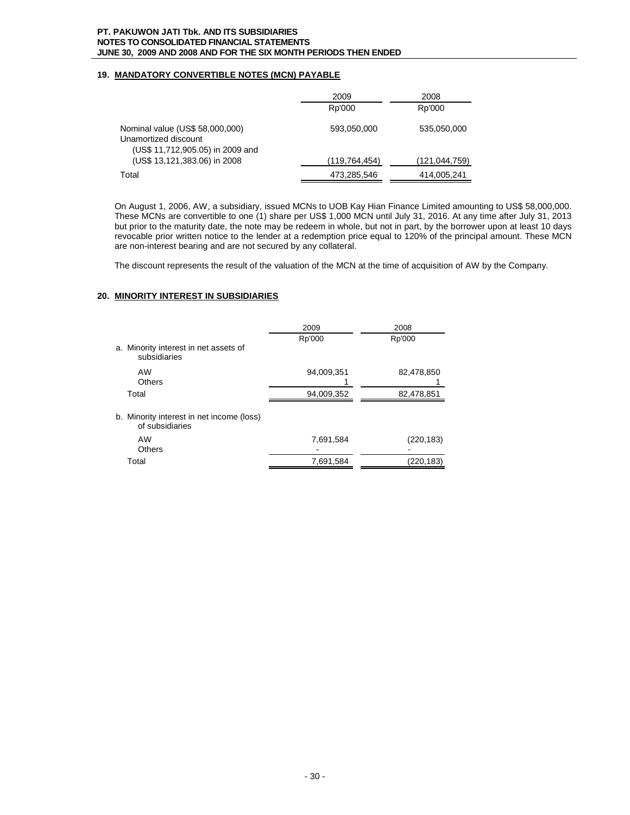# **19. MANDATORY CONVERTIBLE NOTES (MCN) PAYABLE**

|                                                                                             | 2009          | 2008          |
|---------------------------------------------------------------------------------------------|---------------|---------------|
|                                                                                             | Rp'000        | Rp'000        |
| Nominal value (US\$ 58,000,000)<br>Unamortized discount<br>(US\$ 11,712,905.05) in 2009 and | 593,050,000   | 535,050,000   |
| (US\$ 13,121,383.06) in 2008                                                                | (119,764,454) | (121,044,759) |
| Total                                                                                       | 473,285,546   | 414,005,241   |

On August 1, 2006, AW, a subsidiary, issued MCNs to UOB Kay Hian Finance Limited amounting to US\$ 58,000,000. These MCNs are convertible to one (1) share per US\$ 1,000 MCN until July 31, 2016. At any time after July 31, 2013 but prior to the maturity date, the note may be redeem in whole, but not in part, by the borrower upon at least 10 days revocable prior written notice to the lender at a redemption price equal to 120% of the principal amount. These MCN are non-interest bearing and are not secured by any collateral.

The discount represents the result of the valuation of the MCN at the time of acquisition of AW by the Company.

# **20. MINORITY INTEREST IN SUBSIDIARIES**

|                                                              | 2009       | 2008       |
|--------------------------------------------------------------|------------|------------|
|                                                              | Rp'000     | Rp'000     |
| a. Minority interest in net assets of<br>subsidiaries        |            |            |
| AW<br>Others                                                 | 94,009,351 | 82,478,850 |
| Total                                                        | 94,009,352 | 82,478,851 |
| b. Minority interest in net income (loss)<br>of subsidiaries |            |            |
| AW<br><b>Others</b>                                          | 7,691,584  | (220,183)  |
| Total                                                        | 7,691,584  | (220, 183) |
|                                                              |            |            |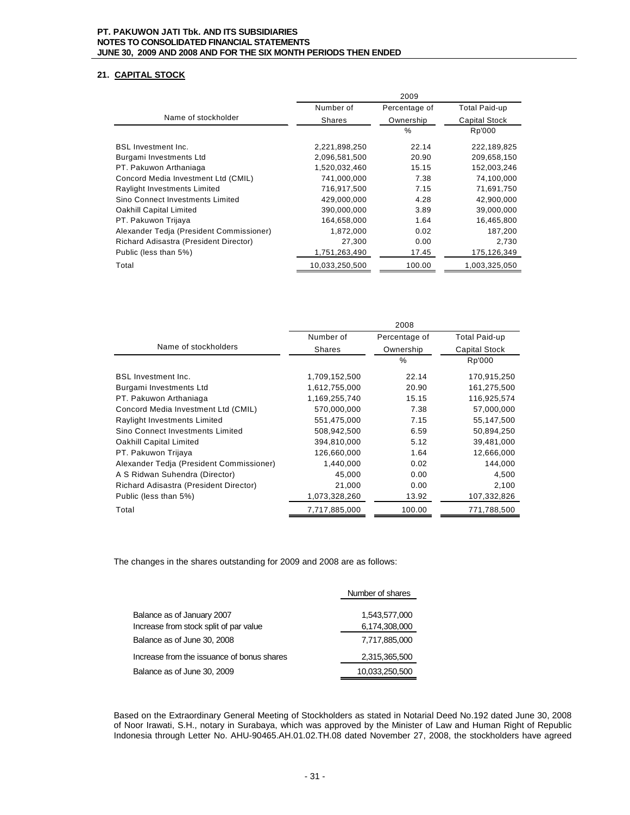# **21. CAPITAL STOCK**

|                                          |                | 2009          |                      |
|------------------------------------------|----------------|---------------|----------------------|
|                                          | Number of      | Percentage of | <b>Total Paid-up</b> |
| Name of stockholder                      | Shares         | Ownership     | <b>Capital Stock</b> |
|                                          |                | $\%$          | Rp'000               |
| <b>BSL Investment Inc.</b>               | 2,221,898,250  | 22.14         | 222,189,825          |
| Burgami Investments Ltd                  | 2,096,581,500  | 20.90         | 209,658,150          |
| PT. Pakuwon Arthaniaga                   | 1,520,032,460  | 15.15         | 152,003,246          |
| Concord Media Investment Ltd (CMIL)      | 741,000,000    | 7.38          | 74,100,000           |
| Raylight Investments Limited             | 716,917,500    | 7.15          | 71,691,750           |
| Sino Connect Investments Limited         | 429,000,000    | 4.28          | 42,900,000           |
| Oakhill Capital Limited                  | 390,000,000    | 3.89          | 39,000,000           |
| PT. Pakuwon Trijaya                      | 164,658,000    | 1.64          | 16,465,800           |
| Alexander Tedia (President Commissioner) | 1,872,000      | 0.02          | 187,200              |
| Richard Adisastra (President Director)   | 27,300         | 0.00          | 2,730                |
| Public (less than 5%)                    | 1,751,263,490  | 17.45         | 175,126,349          |
| Total                                    | 10.033.250.500 | 100.00        | 1,003,325,050        |

|                                          |               | 2008          |               |
|------------------------------------------|---------------|---------------|---------------|
|                                          | Number of     | Percentage of | Total Paid-up |
| Name of stockholders                     | <b>Shares</b> | Ownership     | Capital Stock |
|                                          |               | $\%$          | Rp'000        |
| <b>BSL Investment Inc.</b>               | 1,709,152,500 | 22.14         | 170,915,250   |
| Burgami Investments Ltd                  | 1,612,755,000 | 20.90         | 161,275,500   |
| PT. Pakuwon Arthaniaga                   | 1,169,255,740 | 15.15         | 116,925,574   |
| Concord Media Investment Ltd (CMIL)      | 570,000,000   | 7.38          | 57,000,000    |
| Raylight Investments Limited             | 551,475,000   | 7.15          | 55,147,500    |
| Sino Connect Investments Limited         | 508,942,500   | 6.59          | 50,894,250    |
| Oakhill Capital Limited                  | 394,810,000   | 5.12          | 39,481,000    |
| PT. Pakuwon Trijaya                      | 126,660,000   | 1.64          | 12,666,000    |
| Alexander Tedia (President Commissioner) | 1,440,000     | 0.02          | 144,000       |
| A S Ridwan Suhendra (Director)           | 45,000        | 0.00          | 4,500         |
| Richard Adisastra (President Director)   | 21,000        | 0.00          | 2,100         |
| Public (less than 5%)                    | 1,073,328,260 | 13.92         | 107,332,826   |
| Total                                    | 7,717,885,000 | 100.00        | 771,788,500   |

The changes in the shares outstanding for 2009 and 2008 are as follows:

|                                                                      | Number of shares               |
|----------------------------------------------------------------------|--------------------------------|
| Balance as of January 2007<br>Increase from stock split of par value | 1.543.577.000<br>6,174,308,000 |
| Balance as of June 30, 2008                                          | 7,717,885,000                  |
| Increase from the issuance of bonus shares                           | 2,315,365,500                  |
| Balance as of June 30, 2009                                          | 10,033,250,500                 |

Based on the Extraordinary General Meeting of Stockholders as stated in Notarial Deed No.192 dated June 30, 2008 of Noor Irawati, S.H., notary in Surabaya, which was approved by the Minister of Law and Human Right of Republic Indonesia through Letter No. AHU-90465.AH.01.02.TH.08 dated November 27, 2008, the stockholders have agreed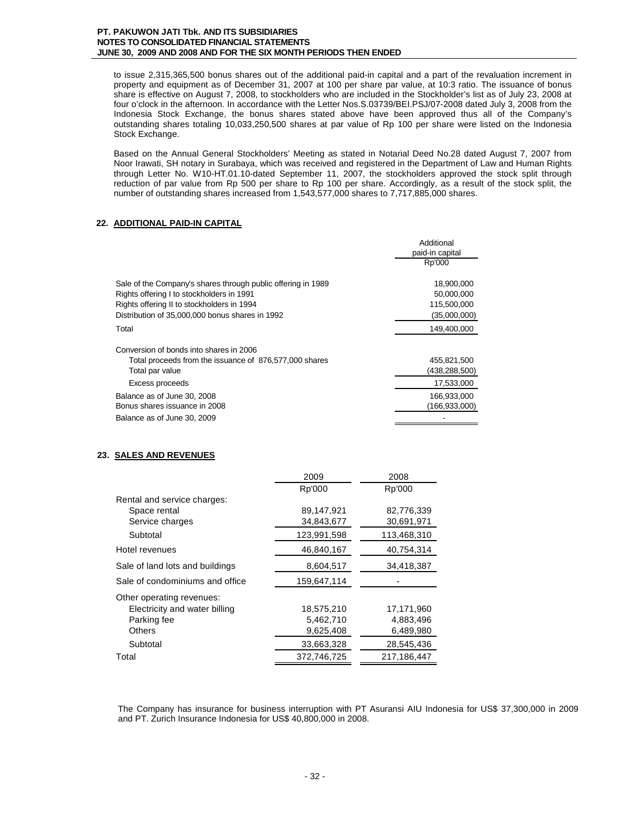to issue 2,315,365,500 bonus shares out of the additional paid-in capital and a part of the revaluation increment in property and equipment as of December 31, 2007 at 100 per share par value, at 10:3 ratio. The issuance of bonus share is effective on August 7, 2008, to stockholders who are included in the Stockholder's list as of July 23, 2008 at four o'clock in the afternoon. In accordance with the Letter Nos.S.03739/BEI.PSJ/07-2008 dated July 3, 2008 from the Indonesia Stock Exchange, the bonus shares stated above have been approved thus all of the Company's outstanding shares totaling 10,033,250,500 shares at par value of Rp 100 per share were listed on the Indonesia Stock Exchange.

Based on the Annual General Stockholders' Meeting as stated in Notarial Deed No.28 dated August 7, 2007 from Noor Irawati, SH notary in Surabaya, which was received and registered in the Department of Law and Human Rights through Letter No. W10-HT.01.10-dated September 11, 2007, the stockholders approved the stock split through reduction of par value from Rp 500 per share to Rp 100 per share. Accordingly, as a result of the stock split, the number of outstanding shares increased from 1,543,577,000 shares to 7,717,885,000 shares.

# **22. ADDITIONAL PAID-IN CAPITAL**

|                                                              | Additional      |
|--------------------------------------------------------------|-----------------|
|                                                              | paid-in capital |
|                                                              | Rp'000          |
| Sale of the Company's shares through public offering in 1989 | 18,900,000      |
| Rights offering I to stockholders in 1991                    | 50,000,000      |
| Rights offering II to stockholders in 1994                   | 115,500,000     |
| Distribution of 35,000,000 bonus shares in 1992              | (35,000,000)    |
| Total                                                        | 149,400,000     |
| Conversion of bonds into shares in 2006                      |                 |
| Total proceeds from the issuance of 876,577,000 shares       | 455,821,500     |
| Total par value                                              | (438, 288, 500) |
| Excess proceeds                                              | 17,533,000      |
| Balance as of June 30, 2008                                  | 166,933,000     |
| Bonus shares issuance in 2008                                | (166, 933, 000) |
| Balance as of June 30, 2009                                  |                 |

# **23. SALES AND REVENUES**

|                                 | 2009        | 2008        |
|---------------------------------|-------------|-------------|
|                                 | Rp'000      | Rp'000      |
| Rental and service charges:     |             |             |
| Space rental                    | 89,147,921  | 82,776,339  |
| Service charges                 | 34,843,677  | 30,691,971  |
| Subtotal                        | 123,991,598 | 113,468,310 |
| Hotel revenues                  | 46,840,167  | 40,754,314  |
| Sale of land lots and buildings | 8,604,517   | 34,418,387  |
| Sale of condominiums and office | 159,647,114 |             |
| Other operating revenues:       |             |             |
| Electricity and water billing   | 18,575,210  | 17,171,960  |
| Parking fee                     | 5,462,710   | 4,883,496   |
| <b>Others</b>                   | 9,625,408   | 6,489,980   |
| Subtotal                        | 33,663,328  | 28,545,436  |
| Total                           | 372,746,725 | 217,186,447 |

The Company has insurance for business interruption with PT Asuransi AIU Indonesia for US\$ 37,300,000 in 2009 and PT. Zurich Insurance Indonesia for US\$ 40,800,000 in 2008.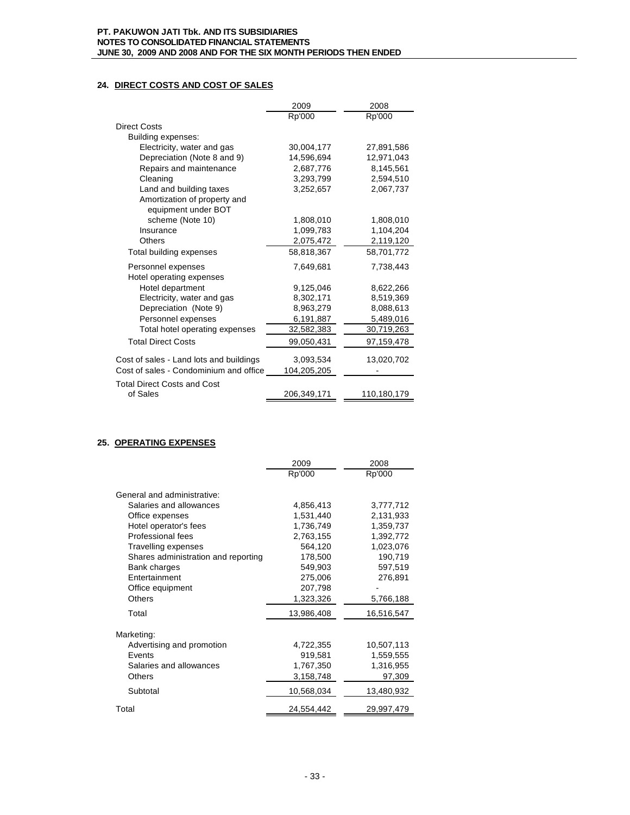# **24. DIRECT COSTS AND COST OF SALES**

|                                         | 2009        | 2008        |
|-----------------------------------------|-------------|-------------|
|                                         | Rp'000      | Rp'000      |
| <b>Direct Costs</b>                     |             |             |
| Building expenses:                      |             |             |
| Electricity, water and gas              | 30,004,177  | 27,891,586  |
| Depreciation (Note 8 and 9)             | 14,596,694  | 12,971,043  |
| Repairs and maintenance                 | 2,687,776   | 8,145,561   |
| Cleaning                                | 3,293,799   | 2,594,510   |
| Land and building taxes                 | 3,252,657   | 2,067,737   |
| Amortization of property and            |             |             |
| equipment under BOT                     |             |             |
| scheme (Note 10)                        | 1,808,010   | 1,808,010   |
| Insurance                               | 1,099,783   | 1,104,204   |
| <b>Others</b>                           | 2,075,472   | 2,119,120   |
| Total building expenses                 | 58,818,367  | 58,701,772  |
| Personnel expenses                      | 7,649,681   | 7,738,443   |
| Hotel operating expenses                |             |             |
| Hotel department                        | 9,125,046   | 8,622,266   |
| Electricity, water and gas              | 8,302,171   | 8,519,369   |
| Depreciation (Note 9)                   | 8,963,279   | 8,088,613   |
| Personnel expenses                      | 6,191,887   | 5,489,016   |
| Total hotel operating expenses          | 32,582,383  | 30,719,263  |
| <b>Total Direct Costs</b>               | 99,050,431  | 97,159,478  |
| Cost of sales - Land lots and buildings | 3,093,534   | 13,020,702  |
| Cost of sales - Condominium and office  | 104,205,205 |             |
| <b>Total Direct Costs and Cost</b>      |             |             |
| of Sales                                | 206,349,171 | 110,180,179 |
|                                         |             |             |

# **25. OPERATING EXPENSES**

|                                     | 2009       | 2008       |
|-------------------------------------|------------|------------|
|                                     | Rp'000     | Rp'000     |
|                                     |            |            |
| General and administrative:         |            |            |
| Salaries and allowances             | 4,856,413  | 3,777,712  |
| Office expenses                     | 1,531,440  | 2,131,933  |
| Hotel operator's fees               | 1,736,749  | 1,359,737  |
| Professional fees                   | 2,763,155  | 1,392,772  |
| Travelling expenses                 | 564,120    | 1,023,076  |
| Shares administration and reporting | 178,500    | 190,719    |
| Bank charges                        | 549,903    | 597,519    |
| Entertainment                       | 275,006    | 276,891    |
| Office equipment                    | 207,798    |            |
| <b>Others</b>                       | 1,323,326  | 5,766,188  |
| Total                               | 13,986,408 | 16,516,547 |
|                                     |            |            |
| Marketing:                          |            |            |
| Advertising and promotion           | 4,722,355  | 10,507,113 |
| Events                              | 919,581    | 1,559,555  |
| Salaries and allowances             | 1,767,350  | 1,316,955  |
| Others                              | 3,158,748  | 97,309     |
| Subtotal                            | 10,568,034 | 13,480,932 |
| Total                               | 24,554,442 | 29,997,479 |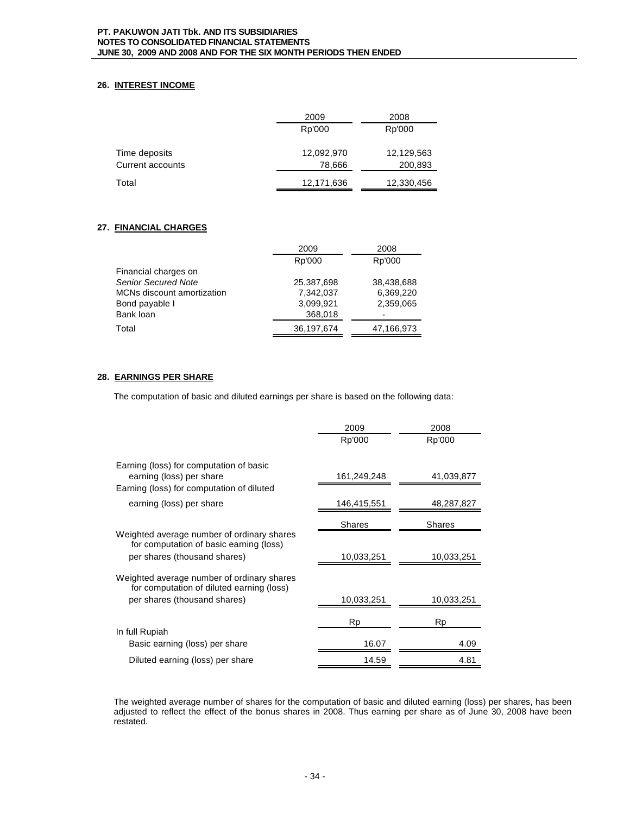# **26. INTEREST INCOME**

|                         | 2009       | 2008       |
|-------------------------|------------|------------|
|                         | Rp'000     | Rp'000     |
|                         |            |            |
| Time deposits           | 12,092,970 | 12,129,563 |
| <b>Current accounts</b> | 78,666     | 200,893    |
| Total                   | 12,171,636 | 12,330,456 |

# **27. FINANCIAL CHARGES**

|                            | 2009       | 2008       |
|----------------------------|------------|------------|
|                            | Rp'000     | Rp'000     |
| Financial charges on       |            |            |
| <b>Senior Secured Note</b> | 25,387,698 | 38,438,688 |
| MCNs discount amortization | 7.342.037  | 6,369,220  |
| Bond payable I             | 3.099.921  | 2,359,065  |
| Bank loan                  | 368,018    |            |
| Total                      | 36,197,674 | 47,166,973 |

# **28. EARNINGS PER SHARE**

The computation of basic and diluted earnings per share is based on the following data:

|                                                                                         | 2009          | 2008       |
|-----------------------------------------------------------------------------------------|---------------|------------|
|                                                                                         | Rp'000        | Rp'000     |
|                                                                                         |               |            |
| Earning (loss) for computation of basic<br>earning (loss) per share                     | 161,249,248   | 41,039,877 |
| Earning (loss) for computation of diluted                                               |               |            |
| earning (loss) per share                                                                | 146,415,551   | 48,287,827 |
|                                                                                         | <b>Shares</b> | Shares     |
| Weighted average number of ordinary shares<br>for computation of basic earning (loss)   |               |            |
| per shares (thousand shares)                                                            | 10,033,251    | 10,033,251 |
| Weighted average number of ordinary shares<br>for computation of diluted earning (loss) |               |            |
| per shares (thousand shares)                                                            | 10,033,251    | 10,033,251 |
|                                                                                         | Rp            | Rp         |
| In full Rupiah                                                                          |               |            |
| Basic earning (loss) per share                                                          | 16.07         | 4.09       |
| Diluted earning (loss) per share                                                        | 14.59         | 4.81       |

The weighted average number of shares for the computation of basic and diluted earning (loss) per shares, has been adjusted to reflect the effect of the bonus shares in 2008. Thus earning per share as of June 30, 2008 have been restated.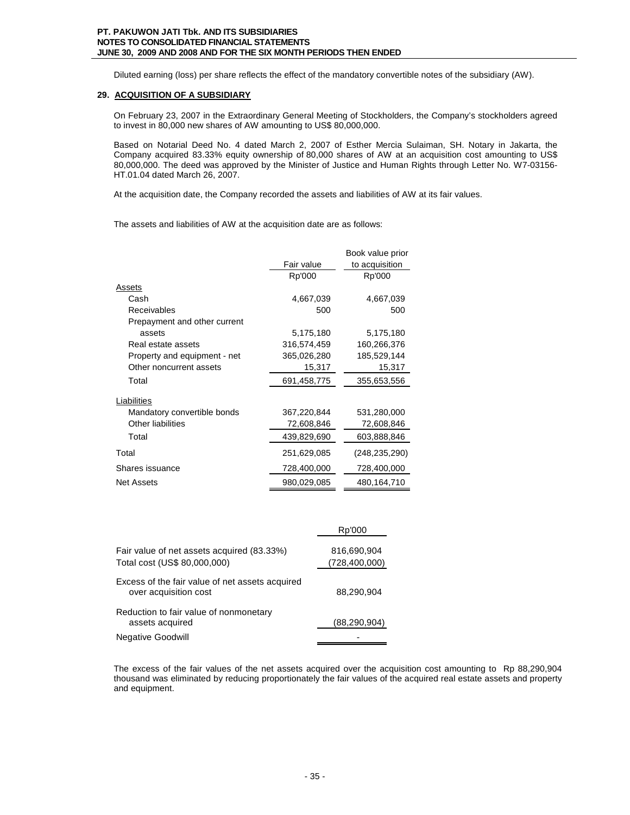Diluted earning (loss) per share reflects the effect of the mandatory convertible notes of the subsidiary (AW).

# **29. ACQUISITION OF A SUBSIDIARY**

On February 23, 2007 in the Extraordinary General Meeting of Stockholders, the Company's stockholders agreed to invest in 80,000 new shares of AW amounting to US\$ 80,000,000.

Based on Notarial Deed No. 4 dated March 2, 2007 of Esther Mercia Sulaiman, SH. Notary in Jakarta, the Company acquired 83.33% equity ownership of 80,000 shares of AW at an acquisition cost amounting to US\$ 80,000,000. The deed was approved by the Minister of Justice and Human Rights through Letter No. W7-03156- HT.01.04 dated March 26, 2007.

At the acquisition date, the Company recorded the assets and liabilities of AW at its fair values.

The assets and liabilities of AW at the acquisition date are as follows:

|                              |             | Book value prior |
|------------------------------|-------------|------------------|
|                              | Fair value  | to acquisition   |
|                              | Rp'000      | Rp'000           |
| Assets                       |             |                  |
| Cash                         | 4,667,039   | 4,667,039        |
| Receivables                  | 500         | 500              |
| Prepayment and other current |             |                  |
| assets                       | 5,175,180   | 5,175,180        |
| Real estate assets           | 316,574,459 | 160,266,376      |
| Property and equipment - net | 365,026,280 | 185,529,144      |
| Other noncurrent assets      | 15,317      | 15,317           |
| Total                        | 691,458,775 | 355,653,556      |
| Liabilities                  |             |                  |
| Mandatory convertible bonds  | 367,220,844 | 531,280,000      |
| Other liabilities            | 72,608,846  | 72,608,846       |
| Total                        | 439,829,690 | 603,888,846      |
| Total                        | 251,629,085 | (248, 235, 290)  |
| Shares issuance              | 728,400,000 | 728,400,000      |
| <b>Net Assets</b>            | 980,029,085 | 480,164,710      |

|                                                                            | Rp'000                         |
|----------------------------------------------------------------------------|--------------------------------|
| Fair value of net assets acquired (83.33%)<br>Total cost (US\$ 80,000,000) | 816,690,904<br>(728, 400, 000) |
| Excess of the fair value of net assets acquired<br>over acquisition cost   | 88,290,904                     |
| Reduction to fair value of nonmonetary<br>assets acquired                  | (88, 290, 904)                 |
| <b>Negative Goodwill</b>                                                   |                                |

The excess of the fair values of the net assets acquired over the acquisition cost amounting to Rp 88,290,904 thousand was eliminated by reducing proportionately the fair values of the acquired real estate assets and property and equipment.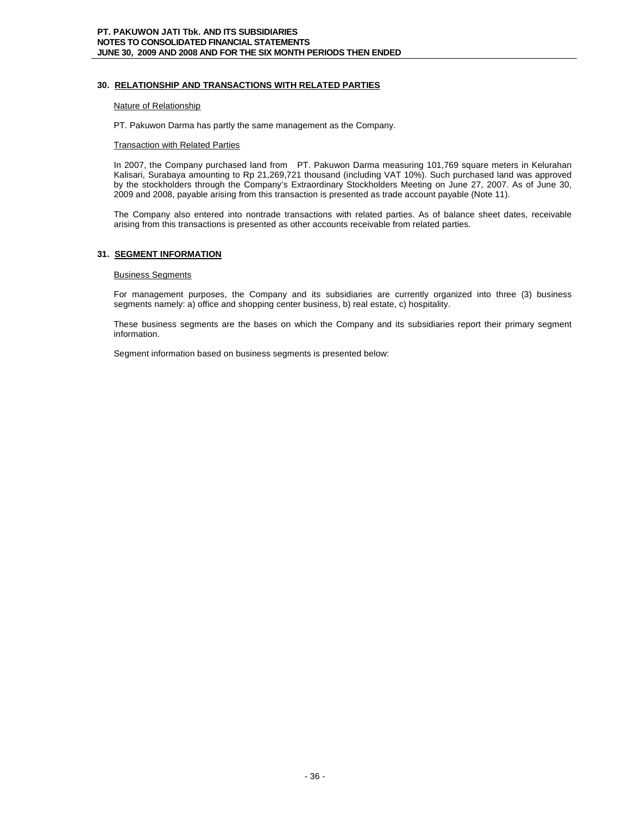# **30. RELATIONSHIP AND TRANSACTIONS WITH RELATED PARTIES**

#### Nature of Relationship

PT. Pakuwon Darma has partly the same management as the Company.

#### **Transaction with Related Parties**

In 2007, the Company purchased land from PT. Pakuwon Darma measuring 101,769 square meters in Kelurahan Kalisari, Surabaya amounting to Rp 21,269,721 thousand (including VAT 10%). Such purchased land was approved by the stockholders through the Company's Extraordinary Stockholders Meeting on June 27, 2007. As of June 30, 2009 and 2008, payable arising from this transaction is presented as trade account payable (Note 11).

The Company also entered into nontrade transactions with related parties. As of balance sheet dates, receivable arising from this transactions is presented as other accounts receivable from related parties.

# **31. SEGMENT INFORMATION**

#### Business Segments

For management purposes, the Company and its subsidiaries are currently organized into three (3) business segments namely: a) office and shopping center business, b) real estate, c) hospitality.

These business segments are the bases on which the Company and its subsidiaries report their primary segment information.

Segment information based on business segments is presented below: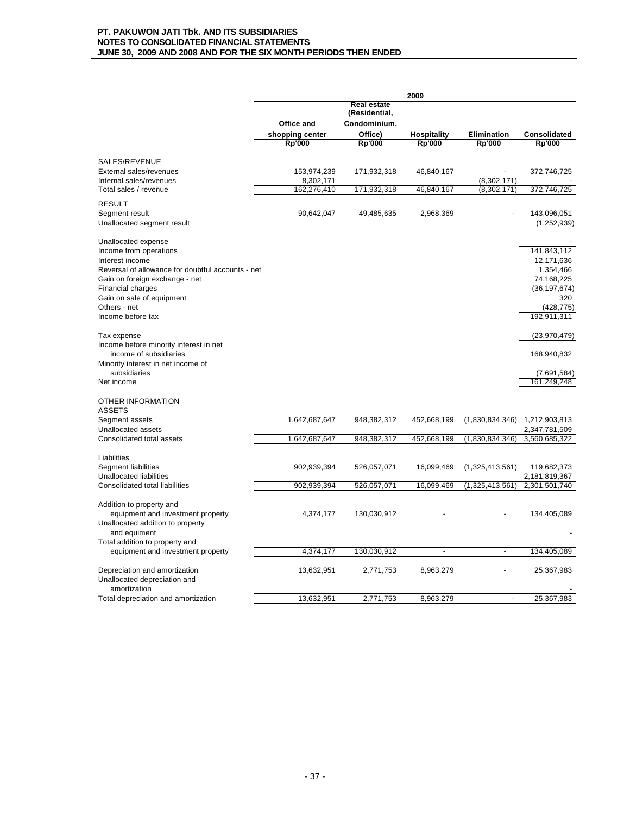|                                                   | 2009            |                                     |                          |                 |                            |
|---------------------------------------------------|-----------------|-------------------------------------|--------------------------|-----------------|----------------------------|
|                                                   |                 | <b>Real estate</b><br>(Residential, |                          |                 |                            |
|                                                   | Office and      | Condominium,                        |                          |                 |                            |
|                                                   | shopping center | Office)                             | <b>Hospitality</b>       | Elimination     | Consolidated               |
|                                                   | <b>Rp'000</b>   | <b>Rp'000</b>                       | <b>Rp'000</b>            | <b>Rp'000</b>   | <b>Rp'000</b>              |
| SALES/REVENUE                                     |                 |                                     |                          |                 |                            |
| External sales/revenues                           | 153,974,239     | 171,932,318                         | 46,840,167               |                 | 372,746,725                |
| Internal sales/revenues                           | 8,302,171       |                                     |                          | (8,302,171)     |                            |
| Total sales / revenue                             | 162,276,410     | 171,932,318                         | 46,840,167               | (8,302,171)     | 372,746,725                |
| <b>RESULT</b>                                     |                 |                                     |                          |                 |                            |
| Segment result                                    | 90,642,047      | 49,485,635                          | 2,968,369                |                 | 143,096,051                |
| Unallocated segment result                        |                 |                                     |                          |                 | (1, 252, 939)              |
| Unallocated expense                               |                 |                                     |                          |                 |                            |
| Income from operations                            |                 |                                     |                          |                 | 141,843,112                |
| Interest income                                   |                 |                                     |                          |                 | 12,171,636                 |
| Reversal of allowance for doubtful accounts - net |                 |                                     |                          |                 | 1,354,466                  |
| Gain on foreign exchange - net                    |                 |                                     |                          |                 | 74,168,225                 |
| <b>Financial charges</b>                          |                 |                                     |                          |                 | (36, 197, 674)             |
| Gain on sale of equipment                         |                 |                                     |                          |                 | 320                        |
| Others - net                                      |                 |                                     |                          |                 | (428, 775)                 |
| Income before tax                                 |                 |                                     |                          |                 | 192,911,311                |
| Tax expense                                       |                 |                                     |                          |                 | (23, 970, 479)             |
| Income before minority interest in net            |                 |                                     |                          |                 |                            |
| income of subsidiaries                            |                 |                                     |                          |                 | 168,940,832                |
| Minority interest in net income of                |                 |                                     |                          |                 |                            |
| subsidiaries<br>Net income                        |                 |                                     |                          |                 | (7,691,584)<br>161,249,248 |
|                                                   |                 |                                     |                          |                 |                            |
| OTHER INFORMATION                                 |                 |                                     |                          |                 |                            |
| <b>ASSETS</b>                                     |                 |                                     |                          |                 |                            |
| Segment assets                                    | 1,642,687,647   | 948,382,312                         | 452,668,199              | (1,830,834,346) | 1,212,903,813              |
| Unallocated assets<br>Consolidated total assets   |                 |                                     |                          |                 | 2,347,781,509              |
|                                                   | 1,642,687,647   | 948,382,312                         | 452,668,199              | (1,830,834,346) | 3,560,685,322              |
| Liabilities                                       |                 |                                     |                          |                 |                            |
| Segment liabilities                               | 902,939,394     | 526,057,071                         | 16,099,469               | (1,325,413,561) | 119,682,373                |
| <b>Unallocated liabilities</b>                    |                 |                                     |                          |                 | 2,181,819,367              |
| Consolidated total liabilities                    | 902,939,394     | 526,057,071                         | 16,099,469               | (1,325,413,561) | 2,301,501,740              |
| Addition to property and                          |                 |                                     |                          |                 |                            |
| equipment and investment property                 | 4,374,177       | 130,030,912                         |                          |                 | 134,405,089                |
| Unallocated addition to property                  |                 |                                     |                          |                 |                            |
| and equiment                                      |                 |                                     |                          |                 |                            |
| Total addition to property and                    |                 |                                     |                          |                 |                            |
| equipment and investment property                 | 4,374,177       | 130,030,912                         | $\overline{\phantom{a}}$ | $\overline{a}$  | 134,405,089                |
| Depreciation and amortization                     | 13,632,951      | 2,771,753                           | 8,963,279                |                 | 25,367,983                 |
| Unallocated depreciation and                      |                 |                                     |                          |                 |                            |
| amortization                                      |                 |                                     |                          |                 |                            |
| Total depreciation and amortization               | 13,632,951      | 2,771,753                           | 8,963,279                |                 | 25,367,983                 |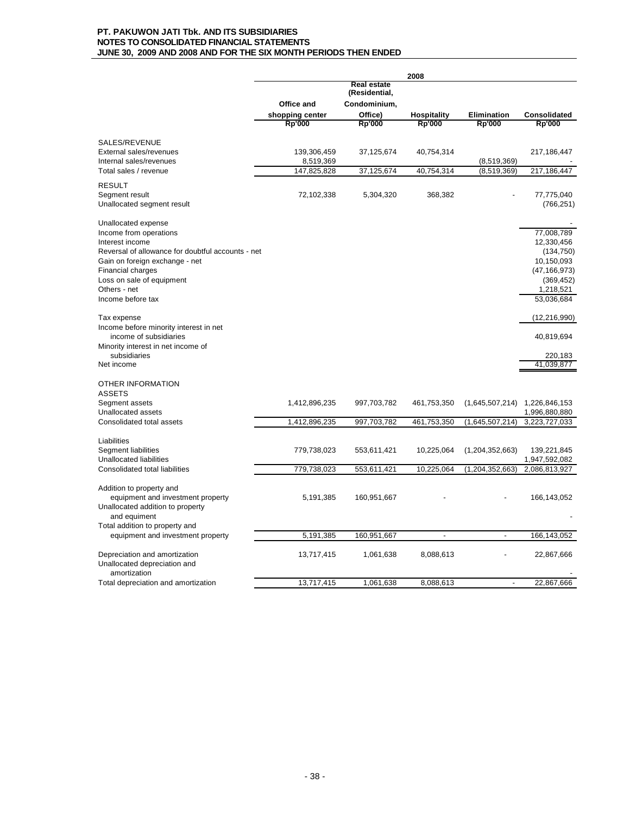|                                                                  | 2008            |                              |                    |                    |                |
|------------------------------------------------------------------|-----------------|------------------------------|--------------------|--------------------|----------------|
|                                                                  |                 | Real estate<br>(Residential, |                    |                    |                |
|                                                                  | Office and      | Condominium,                 |                    |                    |                |
|                                                                  | shopping center | Office)                      | <b>Hospitality</b> | <b>Elimination</b> | Consolidated   |
|                                                                  | <b>Rp'000</b>   | <b>Rp'000</b>                | <b>Rp'000</b>      | <b>Rp'000</b>      | <b>Rp'000</b>  |
| SALES/REVENUE                                                    |                 |                              |                    |                    |                |
| External sales/revenues                                          | 139,306,459     | 37,125,674                   | 40,754,314         |                    | 217, 186, 447  |
| Internal sales/revenues                                          | 8,519,369       |                              |                    | (8,519,369)        |                |
| Total sales / revenue                                            | 147,825,828     | 37,125,674                   | 40,754,314         | (8,519,369)        | 217,186,447    |
| <b>RESULT</b>                                                    |                 |                              |                    |                    |                |
| Segment result                                                   | 72,102,338      | 5,304,320                    | 368,382            |                    | 77,775,040     |
| Unallocated segment result                                       |                 |                              |                    |                    | (766, 251)     |
| Unallocated expense                                              |                 |                              |                    |                    |                |
| Income from operations                                           |                 |                              |                    |                    | 77,008,789     |
| Interest income                                                  |                 |                              |                    |                    | 12,330,456     |
| Reversal of allowance for doubtful accounts - net                |                 |                              |                    |                    | (134, 750)     |
| Gain on foreign exchange - net                                   |                 |                              |                    |                    | 10,150,093     |
| <b>Financial charges</b>                                         |                 |                              |                    |                    | (47, 166, 973) |
| Loss on sale of equipment                                        |                 |                              |                    |                    | (369, 452)     |
| Others - net                                                     |                 |                              |                    |                    | 1,218,521      |
| Income before tax                                                |                 |                              |                    |                    | 53,036,684     |
| Tax expense                                                      |                 |                              |                    |                    | (12, 216, 990) |
| Income before minority interest in net<br>income of subsidiaries |                 |                              |                    |                    | 40,819,694     |
| Minority interest in net income of                               |                 |                              |                    |                    |                |
| subsidiaries                                                     |                 |                              |                    |                    | 220,183        |
| Net income                                                       |                 |                              |                    |                    | 41.039.877     |
| OTHER INFORMATION                                                |                 |                              |                    |                    |                |
| <b>ASSETS</b>                                                    |                 |                              |                    |                    |                |
| Segment assets                                                   | 1,412,896,235   | 997,703,782                  | 461,753,350        | (1,645,507,214)    | 1,226,846,153  |
| Unallocated assets                                               |                 |                              |                    |                    | 1,996,880,880  |
| Consolidated total assets                                        | 1,412,896,235   | 997,703,782                  | 461,753,350        | (1,645,507,214)    | 3,223,727,033  |
| Liabilities                                                      |                 |                              |                    |                    |                |
| Segment liabilities                                              | 779,738,023     | 553,611,421                  | 10,225,064         | (1,204,352,663)    | 139,221,845    |
| <b>Unallocated liabilities</b>                                   |                 |                              |                    |                    | 1,947,592,082  |
| Consolidated total liabilities                                   | 779,738,023     | 553,611,421                  | 10,225,064         | (1, 204, 352, 663) | 2,086,813,927  |
| Addition to property and                                         |                 |                              |                    |                    |                |
| equipment and investment property                                | 5,191,385       | 160,951,667                  |                    |                    | 166, 143, 052  |
| Unallocated addition to property                                 |                 |                              |                    |                    |                |
| and equiment                                                     |                 |                              |                    |                    |                |
| Total addition to property and                                   |                 |                              |                    |                    |                |
| equipment and investment property                                | 5,191,385       | 160,951,667                  | $\overline{a}$     | $\overline{a}$     | 166, 143, 052  |
| Depreciation and amortization                                    | 13,717,415      | 1,061,638                    | 8,088,613          |                    | 22,867,666     |
| Unallocated depreciation and                                     |                 |                              |                    |                    |                |
| amortization                                                     |                 |                              |                    |                    |                |
| Total depreciation and amortization                              | 13,717,415      | 1,061,638                    | 8,088,613          | $\overline{a}$     | 22,867,666     |